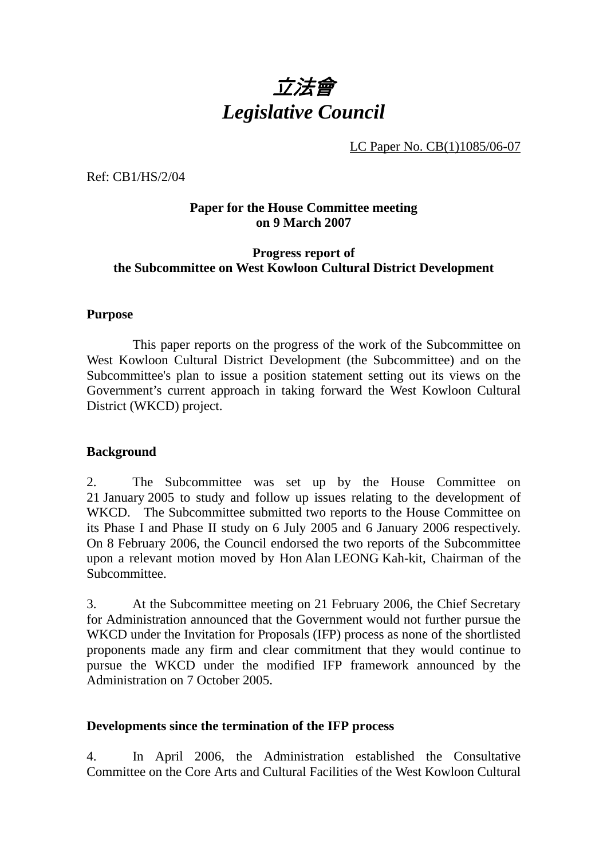

LC Paper No. CB(1)1085/06-07

Ref: CB1/HS/2/04

#### **Paper for the House Committee meeting on 9 March 2007**

#### **Progress report of the Subcommittee on West Kowloon Cultural District Development**

#### **Purpose**

 This paper reports on the progress of the work of the Subcommittee on West Kowloon Cultural District Development (the Subcommittee) and on the Subcommittee's plan to issue a position statement setting out its views on the Government's current approach in taking forward the West Kowloon Cultural District (WKCD) project.

#### **Background**

2. The Subcommittee was set up by the House Committee on 21 January 2005 to study and follow up issues relating to the development of WKCD. The Subcommittee submitted two reports to the House Committee on its Phase I and Phase II study on 6 July 2005 and 6 January 2006 respectively. On 8 February 2006, the Council endorsed the two reports of the Subcommittee upon a relevant motion moved by Hon Alan LEONG Kah-kit, Chairman of the Subcommittee.

3. At the Subcommittee meeting on 21 February 2006, the Chief Secretary for Administration announced that the Government would not further pursue the WKCD under the Invitation for Proposals (IFP) process as none of the shortlisted proponents made any firm and clear commitment that they would continue to pursue the WKCD under the modified IFP framework announced by the Administration on 7 October 2005.

#### **Developments since the termination of the IFP process**

4. In April 2006, the Administration established the Consultative Committee on the Core Arts and Cultural Facilities of the West Kowloon Cultural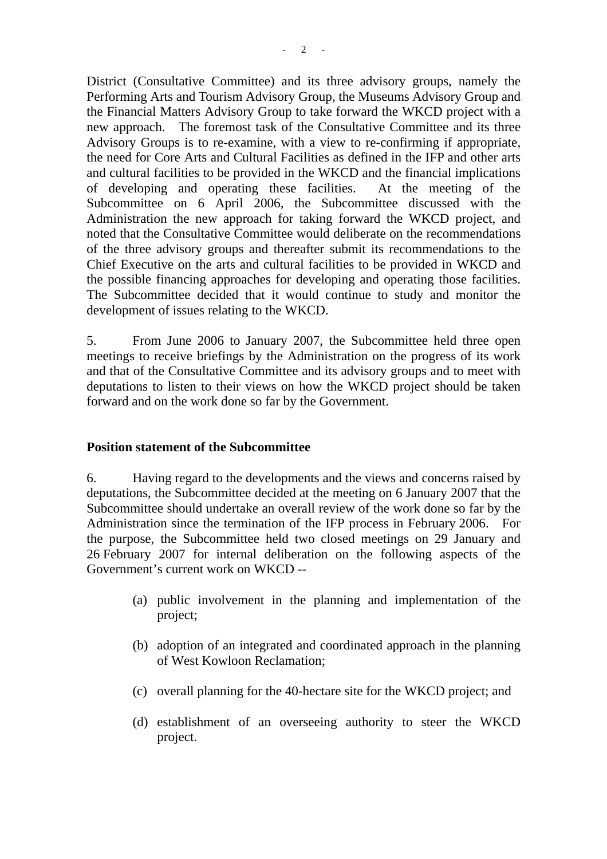District (Consultative Committee) and its three advisory groups, namely the Performing Arts and Tourism Advisory Group, the Museums Advisory Group and the Financial Matters Advisory Group to take forward the WKCD project with a new approach. The foremost task of the Consultative Committee and its three Advisory Groups is to re-examine, with a view to re-confirming if appropriate, the need for Core Arts and Cultural Facilities as defined in the IFP and other arts and cultural facilities to be provided in the WKCD and the financial implications of developing and operating these facilities. At the meeting of the Subcommittee on 6 April 2006, the Subcommittee discussed with the Administration the new approach for taking forward the WKCD project, and noted that the Consultative Committee would deliberate on the recommendations of the three advisory groups and thereafter submit its recommendations to the Chief Executive on the arts and cultural facilities to be provided in WKCD and the possible financing approaches for developing and operating those facilities. The Subcommittee decided that it would continue to study and monitor the development of issues relating to the WKCD.

5. From June 2006 to January 2007, the Subcommittee held three open meetings to receive briefings by the Administration on the progress of its work and that of the Consultative Committee and its advisory groups and to meet with deputations to listen to their views on how the WKCD project should be taken forward and on the work done so far by the Government.

#### **Position statement of the Subcommittee**

6. Having regard to the developments and the views and concerns raised by deputations, the Subcommittee decided at the meeting on 6 January 2007 that the Subcommittee should undertake an overall review of the work done so far by the Administration since the termination of the IFP process in February 2006. For the purpose, the Subcommittee held two closed meetings on 29 January and 26 February 2007 for internal deliberation on the following aspects of the Government's current work on WKCD --

- (a) public involvement in the planning and implementation of the project;
- (b) adoption of an integrated and coordinated approach in the planning of West Kowloon Reclamation;
- (c) overall planning for the 40-hectare site for the WKCD project; and
- (d) establishment of an overseeing authority to steer the WKCD project.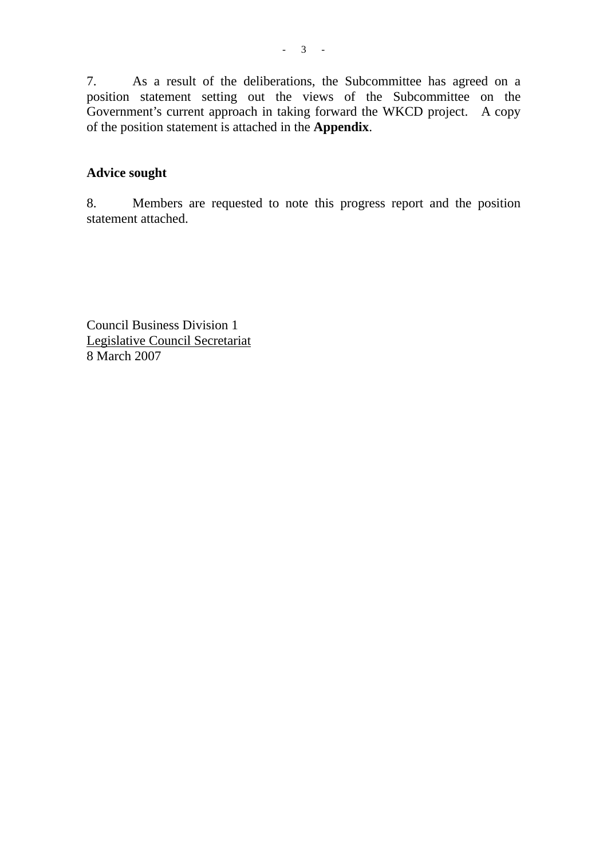7. As a result of the deliberations, the Subcommittee has agreed on a position statement setting out the views of the Subcommittee on the Government's current approach in taking forward the WKCD project. A copy of the position statement is attached in the **Appendix**.

### **Advice sought**

8. Members are requested to note this progress report and the position statement attached.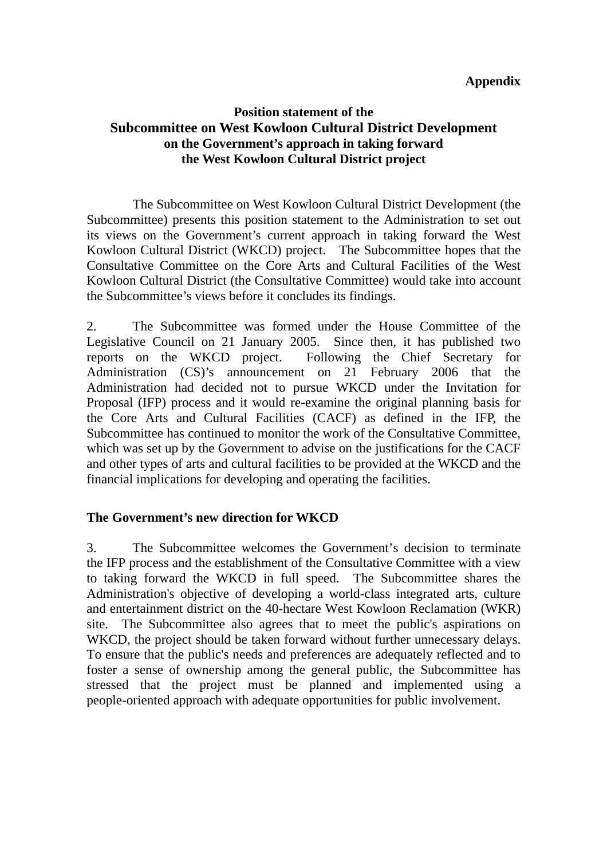#### **Appendix**

## **Position statement of the Subcommittee on West Kowloon Cultural District Development on the Government's approach in taking forward the West Kowloon Cultural District project**

 The Subcommittee on West Kowloon Cultural District Development (the Subcommittee) presents this position statement to the Administration to set out its views on the Government's current approach in taking forward the West Kowloon Cultural District (WKCD) project. The Subcommittee hopes that the Consultative Committee on the Core Arts and Cultural Facilities of the West Kowloon Cultural District (the Consultative Committee) would take into account the Subcommittee's views before it concludes its findings.

2. The Subcommittee was formed under the House Committee of the Legislative Council on 21 January 2005. Since then, it has published two reports on the WKCD project. Following the Chief Secretary for Administration (CS)'s announcement on 21 February 2006 that the Administration had decided not to pursue WKCD under the Invitation for Proposal (IFP) process and it would re-examine the original planning basis for the Core Arts and Cultural Facilities (CACF) as defined in the IFP, the Subcommittee has continued to monitor the work of the Consultative Committee, which was set up by the Government to advise on the justifications for the CACF and other types of arts and cultural facilities to be provided at the WKCD and the financial implications for developing and operating the facilities.

### **The Government's new direction for WKCD**

3. The Subcommittee welcomes the Government's decision to terminate the IFP process and the establishment of the Consultative Committee with a view to taking forward the WKCD in full speed. The Subcommittee shares the Administration's objective of developing a world-class integrated arts, culture and entertainment district on the 40-hectare West Kowloon Reclamation (WKR) site. The Subcommittee also agrees that to meet the public's aspirations on WKCD, the project should be taken forward without further unnecessary delays. To ensure that the public's needs and preferences are adequately reflected and to foster a sense of ownership among the general public, the Subcommittee has stressed that the project must be planned and implemented using a people-oriented approach with adequate opportunities for public involvement.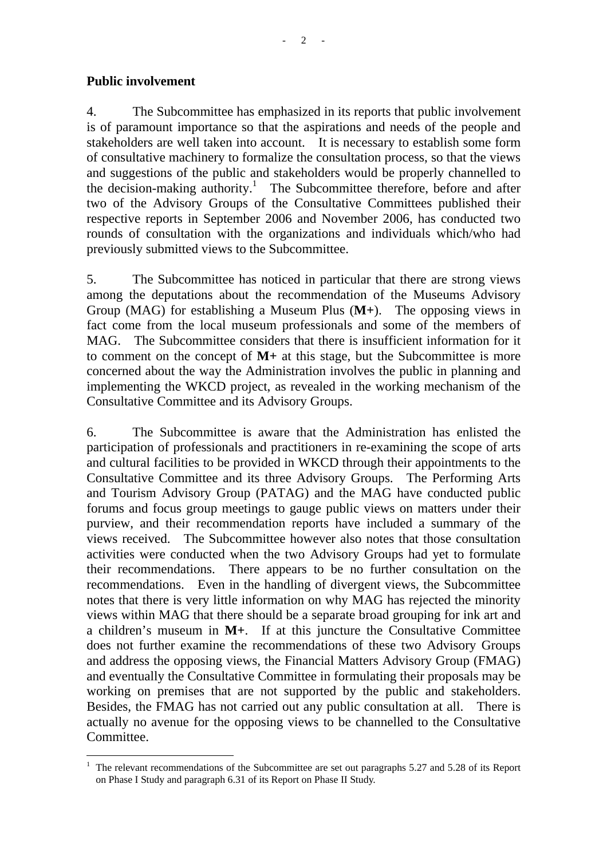#### **Public involvement**

4. The Subcommittee has emphasized in its reports that public involvement is of paramount importance so that the aspirations and needs of the people and stakeholders are well taken into account. It is necessary to establish some form of consultative machinery to formalize the consultation process, so that the views and suggestions of the public and stakeholders would be properly channelled to the decision-making authority.<sup>1</sup> The Subcommittee therefore, before and after two of the Advisory Groups of the Consultative Committees published their respective reports in September 2006 and November 2006, has conducted two rounds of consultation with the organizations and individuals which/who had previously submitted views to the Subcommittee.

5. The Subcommittee has noticed in particular that there are strong views among the deputations about the recommendation of the Museums Advisory Group (MAG) for establishing a Museum Plus (**M+**). The opposing views in fact come from the local museum professionals and some of the members of MAG. The Subcommittee considers that there is insufficient information for it to comment on the concept of **M+** at this stage, but the Subcommittee is more concerned about the way the Administration involves the public in planning and implementing the WKCD project, as revealed in the working mechanism of the Consultative Committee and its Advisory Groups.

6. The Subcommittee is aware that the Administration has enlisted the participation of professionals and practitioners in re-examining the scope of arts and cultural facilities to be provided in WKCD through their appointments to the Consultative Committee and its three Advisory Groups. The Performing Arts and Tourism Advisory Group (PATAG) and the MAG have conducted public forums and focus group meetings to gauge public views on matters under their purview, and their recommendation reports have included a summary of the views received. The Subcommittee however also notes that those consultation activities were conducted when the two Advisory Groups had yet to formulate their recommendations. There appears to be no further consultation on the recommendations. Even in the handling of divergent views, the Subcommittee notes that there is very little information on why MAG has rejected the minority views within MAG that there should be a separate broad grouping for ink art and a children's museum in **M+**. If at this juncture the Consultative Committee does not further examine the recommendations of these two Advisory Groups and address the opposing views, the Financial Matters Advisory Group (FMAG) and eventually the Consultative Committee in formulating their proposals may be working on premises that are not supported by the public and stakeholders. Besides, the FMAG has not carried out any public consultation at all. There is actually no avenue for the opposing views to be channelled to the Consultative Committee.

 $\overline{a}$ 1 The relevant recommendations of the Subcommittee are set out paragraphs 5.27 and 5.28 of its Report on Phase I Study and paragraph 6.31 of its Report on Phase II Study.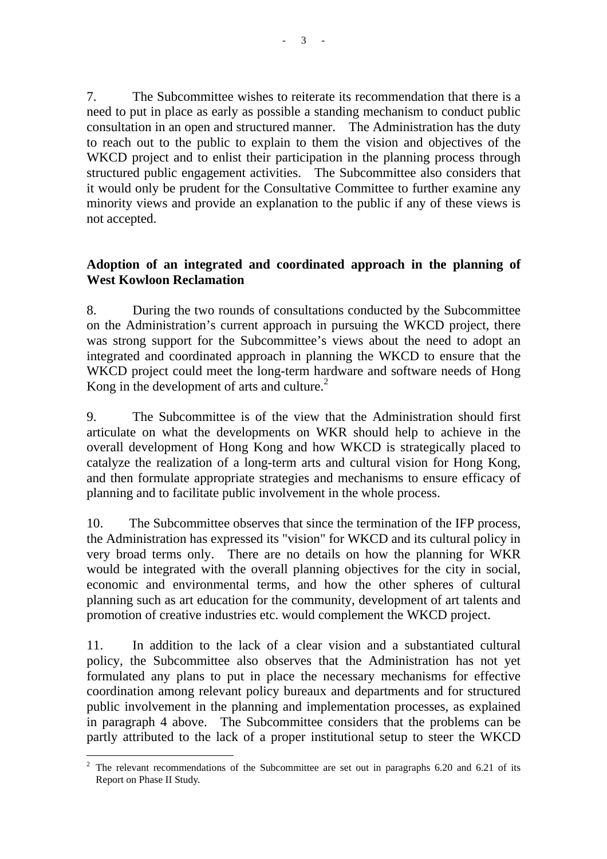7. The Subcommittee wishes to reiterate its recommendation that there is a need to put in place as early as possible a standing mechanism to conduct public consultation in an open and structured manner. The Administration has the duty to reach out to the public to explain to them the vision and objectives of the WKCD project and to enlist their participation in the planning process through structured public engagement activities. The Subcommittee also considers that it would only be prudent for the Consultative Committee to further examine any minority views and provide an explanation to the public if any of these views is not accepted.

## **Adoption of an integrated and coordinated approach in the planning of West Kowloon Reclamation**

8. During the two rounds of consultations conducted by the Subcommittee on the Administration's current approach in pursuing the WKCD project, there was strong support for the Subcommittee's views about the need to adopt an integrated and coordinated approach in planning the WKCD to ensure that the WKCD project could meet the long-term hardware and software needs of Hong Kong in the development of arts and culture.<sup>2</sup>

9. The Subcommittee is of the view that the Administration should first articulate on what the developments on WKR should help to achieve in the overall development of Hong Kong and how WKCD is strategically placed to catalyze the realization of a long-term arts and cultural vision for Hong Kong, and then formulate appropriate strategies and mechanisms to ensure efficacy of planning and to facilitate public involvement in the whole process.

10. The Subcommittee observes that since the termination of the IFP process, the Administration has expressed its "vision" for WKCD and its cultural policy in very broad terms only. There are no details on how the planning for WKR would be integrated with the overall planning objectives for the city in social, economic and environmental terms, and how the other spheres of cultural planning such as art education for the community, development of art talents and promotion of creative industries etc. would complement the WKCD project.

11. In addition to the lack of a clear vision and a substantiated cultural policy, the Subcommittee also observes that the Administration has not yet formulated any plans to put in place the necessary mechanisms for effective coordination among relevant policy bureaux and departments and for structured public involvement in the planning and implementation processes, as explained in paragraph 4 above. The Subcommittee considers that the problems can be partly attributed to the lack of a proper institutional setup to steer the WKCD

 $\overline{a}$ <sup>2</sup> The relevant recommendations of the Subcommittee are set out in paragraphs 6.20 and 6.21 of its Report on Phase II Study.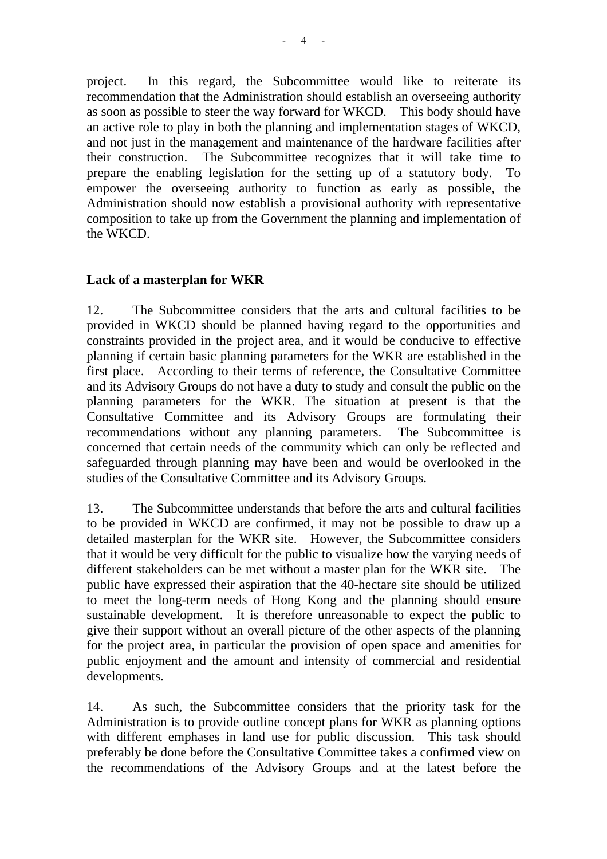project. In this regard, the Subcommittee would like to reiterate its recommendation that the Administration should establish an overseeing authority as soon as possible to steer the way forward for WKCD. This body should have an active role to play in both the planning and implementation stages of WKCD, and not just in the management and maintenance of the hardware facilities after their construction. The Subcommittee recognizes that it will take time to prepare the enabling legislation for the setting up of a statutory body. To empower the overseeing authority to function as early as possible, the Administration should now establish a provisional authority with representative composition to take up from the Government the planning and implementation of the WKCD.

### **Lack of a masterplan for WKR**

12. The Subcommittee considers that the arts and cultural facilities to be provided in WKCD should be planned having regard to the opportunities and constraints provided in the project area, and it would be conducive to effective planning if certain basic planning parameters for the WKR are established in the first place. According to their terms of reference, the Consultative Committee and its Advisory Groups do not have a duty to study and consult the public on the planning parameters for the WKR. The situation at present is that the Consultative Committee and its Advisory Groups are formulating their recommendations without any planning parameters. The Subcommittee is concerned that certain needs of the community which can only be reflected and safeguarded through planning may have been and would be overlooked in the studies of the Consultative Committee and its Advisory Groups.

13. The Subcommittee understands that before the arts and cultural facilities to be provided in WKCD are confirmed, it may not be possible to draw up a detailed masterplan for the WKR site. However, the Subcommittee considers that it would be very difficult for the public to visualize how the varying needs of different stakeholders can be met without a master plan for the WKR site. The public have expressed their aspiration that the 40-hectare site should be utilized to meet the long-term needs of Hong Kong and the planning should ensure sustainable development. It is therefore unreasonable to expect the public to give their support without an overall picture of the other aspects of the planning for the project area, in particular the provision of open space and amenities for public enjoyment and the amount and intensity of commercial and residential developments.

14. As such, the Subcommittee considers that the priority task for the Administration is to provide outline concept plans for WKR as planning options with different emphases in land use for public discussion. This task should preferably be done before the Consultative Committee takes a confirmed view on the recommendations of the Advisory Groups and at the latest before the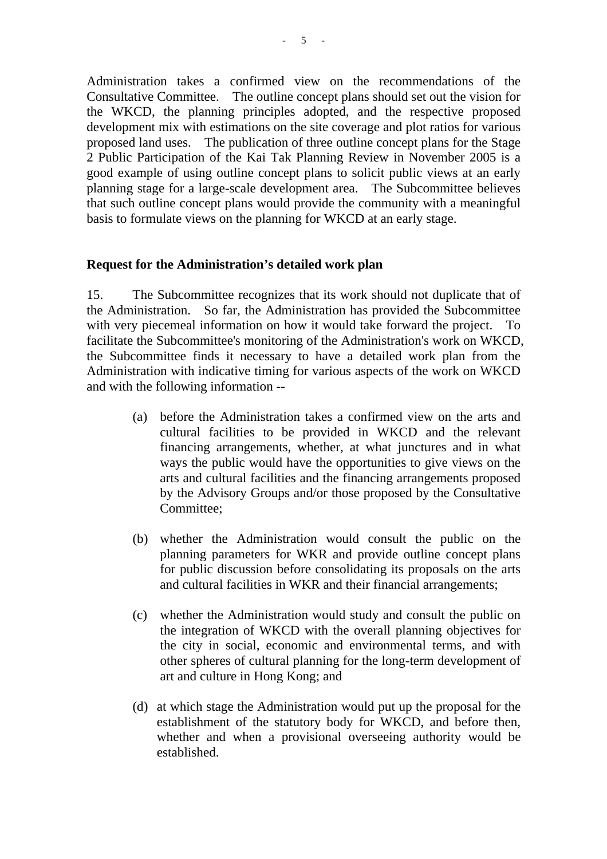Administration takes a confirmed view on the recommendations of the Consultative Committee. The outline concept plans should set out the vision for the WKCD, the planning principles adopted, and the respective proposed development mix with estimations on the site coverage and plot ratios for various proposed land uses. The publication of three outline concept plans for the Stage 2 Public Participation of the Kai Tak Planning Review in November 2005 is a good example of using outline concept plans to solicit public views at an early planning stage for a large-scale development area. The Subcommittee believes that such outline concept plans would provide the community with a meaningful basis to formulate views on the planning for WKCD at an early stage.

#### **Request for the Administration's detailed work plan**

15. The Subcommittee recognizes that its work should not duplicate that of the Administration. So far, the Administration has provided the Subcommittee with very piecemeal information on how it would take forward the project. To facilitate the Subcommittee's monitoring of the Administration's work on WKCD, the Subcommittee finds it necessary to have a detailed work plan from the Administration with indicative timing for various aspects of the work on WKCD and with the following information --

- (a) before the Administration takes a confirmed view on the arts and cultural facilities to be provided in WKCD and the relevant financing arrangements, whether, at what junctures and in what ways the public would have the opportunities to give views on the arts and cultural facilities and the financing arrangements proposed by the Advisory Groups and/or those proposed by the Consultative Committee;
- (b) whether the Administration would consult the public on the planning parameters for WKR and provide outline concept plans for public discussion before consolidating its proposals on the arts and cultural facilities in WKR and their financial arrangements;
- (c) whether the Administration would study and consult the public on the integration of WKCD with the overall planning objectives for the city in social, economic and environmental terms, and with other spheres of cultural planning for the long-term development of art and culture in Hong Kong; and
- (d) at which stage the Administration would put up the proposal for the establishment of the statutory body for WKCD, and before then, whether and when a provisional overseeing authority would be established.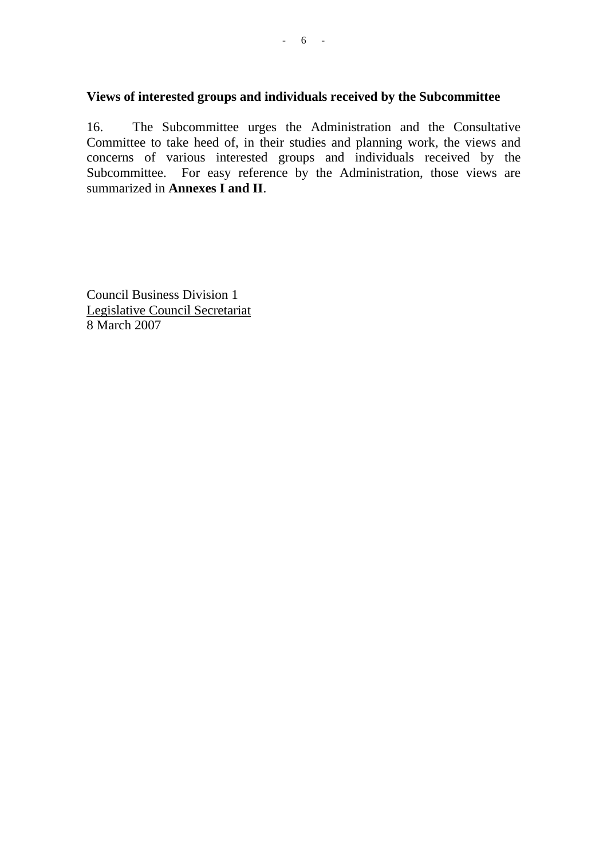## **Views of interested groups and individuals received by the Subcommittee**

16. The Subcommittee urges the Administration and the Consultative Committee to take heed of, in their studies and planning work, the views and concerns of various interested groups and individuals received by the Subcommittee. For easy reference by the Administration, those views are summarized in **Annexes I and II**.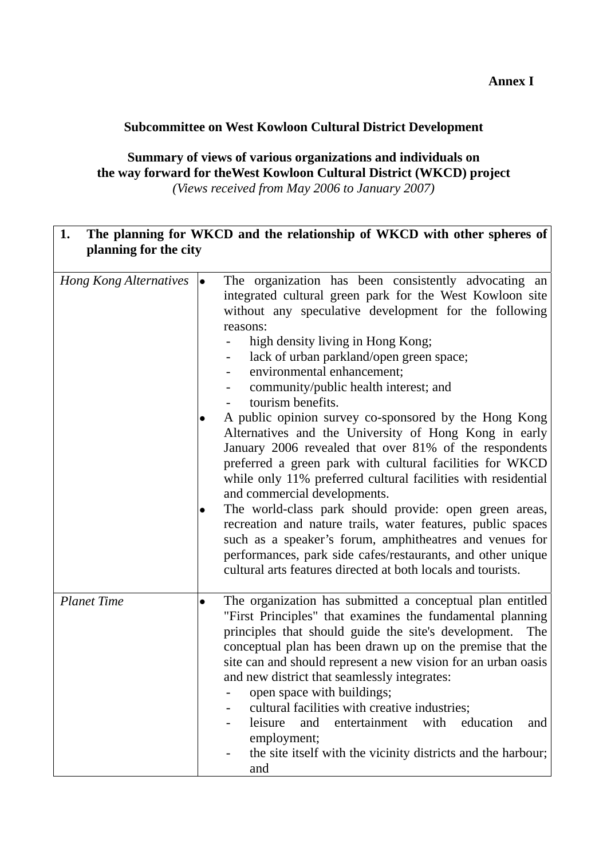#### **Annex I**

## **Subcommittee on West Kowloon Cultural District Development**

## **Summary of views of various organizations and individuals on the way forward for theWest Kowloon Cultural District (WKCD) project**  *(Views received from May 2006 to January 2007)*

| The planning for WKCD and the relationship of WKCD with other spheres of<br>1.<br>planning for the city |           |                                                                                                                                                                                                                                                                                                                                                                                                                                                                                                                                                                                                                                                                                                                                                                                                                                                                                                                                                                                                                                |
|---------------------------------------------------------------------------------------------------------|-----------|--------------------------------------------------------------------------------------------------------------------------------------------------------------------------------------------------------------------------------------------------------------------------------------------------------------------------------------------------------------------------------------------------------------------------------------------------------------------------------------------------------------------------------------------------------------------------------------------------------------------------------------------------------------------------------------------------------------------------------------------------------------------------------------------------------------------------------------------------------------------------------------------------------------------------------------------------------------------------------------------------------------------------------|
| <b>Hong Kong Alternatives</b>                                                                           | $\bullet$ | The organization has been consistently advocating an<br>integrated cultural green park for the West Kowloon site<br>without any speculative development for the following<br>reasons:<br>high density living in Hong Kong;<br>lack of urban parkland/open green space;<br>environmental enhancement;<br>community/public health interest; and<br>tourism benefits.<br>A public opinion survey co-sponsored by the Hong Kong<br>Alternatives and the University of Hong Kong in early<br>January 2006 revealed that over 81% of the respondents<br>preferred a green park with cultural facilities for WKCD<br>while only 11% preferred cultural facilities with residential<br>and commercial developments.<br>The world-class park should provide: open green areas,<br>recreation and nature trails, water features, public spaces<br>such as a speaker's forum, amphitheatres and venues for<br>performances, park side cafes/restaurants, and other unique<br>cultural arts features directed at both locals and tourists. |
| <b>Planet Time</b>                                                                                      | $\bullet$ | The organization has submitted a conceptual plan entitled<br>"First Principles" that examines the fundamental planning<br>principles that should guide the site's development.<br>The<br>conceptual plan has been drawn up on the premise that the<br>site can and should represent a new vision for an urban oasis<br>and new district that seamlessly integrates:<br>open space with buildings;<br>cultural facilities with creative industries;<br>entertainment<br>with<br>and<br>leisure<br>education<br>and<br>employment;<br>the site itself with the vicinity districts and the harbour;<br>and                                                                                                                                                                                                                                                                                                                                                                                                                        |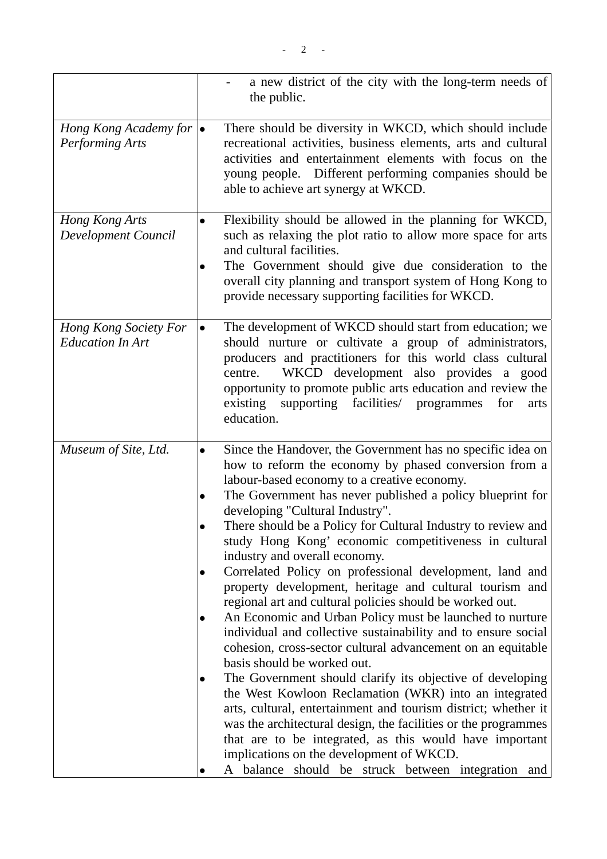|                                                           |           | a new district of the city with the long-term needs of<br>the public.                                                                                                                                                                                                                                                                                                                                               |
|-----------------------------------------------------------|-----------|---------------------------------------------------------------------------------------------------------------------------------------------------------------------------------------------------------------------------------------------------------------------------------------------------------------------------------------------------------------------------------------------------------------------|
| Hong Kong Academy for $\bullet$<br><b>Performing Arts</b> |           | There should be diversity in WKCD, which should include<br>recreational activities, business elements, arts and cultural<br>activities and entertainment elements with focus on the<br>young people. Different performing companies should be<br>able to achieve art synergy at WKCD.                                                                                                                               |
| Hong Kong Arts<br>Development Council                     | $\bullet$ | Flexibility should be allowed in the planning for WKCD,<br>such as relaxing the plot ratio to allow more space for arts<br>and cultural facilities.<br>The Government should give due consideration to the<br>overall city planning and transport system of Hong Kong to<br>provide necessary supporting facilities for WKCD.                                                                                       |
| Hong Kong Society For<br><b>Education In Art</b>          | $\bullet$ | The development of WKCD should start from education; we<br>should nurture or cultivate a group of administrators,<br>producers and practitioners for this world class cultural<br>WKCD development also provides a good<br>centre.<br>opportunity to promote public arts education and review the<br>facilities/<br>existing<br>supporting<br>programmes<br>for<br>arts<br>education.                               |
| Museum of Site, Ltd.                                      | $\bullet$ | Since the Handover, the Government has no specific idea on<br>how to reform the economy by phased conversion from a                                                                                                                                                                                                                                                                                                 |
|                                                           |           | labour-based economy to a creative economy.<br>The Government has never published a policy blueprint for                                                                                                                                                                                                                                                                                                            |
|                                                           |           | developing "Cultural Industry".                                                                                                                                                                                                                                                                                                                                                                                     |
|                                                           |           | There should be a Policy for Cultural Industry to review and<br>study Hong Kong' economic competitiveness in cultural<br>industry and overall economy.                                                                                                                                                                                                                                                              |
|                                                           |           | Correlated Policy on professional development, land and<br>property development, heritage and cultural tourism and<br>regional art and cultural policies should be worked out.                                                                                                                                                                                                                                      |
|                                                           |           | An Economic and Urban Policy must be launched to nurture<br>individual and collective sustainability and to ensure social<br>cohesion, cross-sector cultural advancement on an equitable<br>basis should be worked out.                                                                                                                                                                                             |
|                                                           |           | The Government should clarify its objective of developing<br>the West Kowloon Reclamation (WKR) into an integrated<br>arts, cultural, entertainment and tourism district; whether it<br>was the architectural design, the facilities or the programmes<br>that are to be integrated, as this would have important<br>implications on the development of WKCD.<br>A balance should be struck between integration and |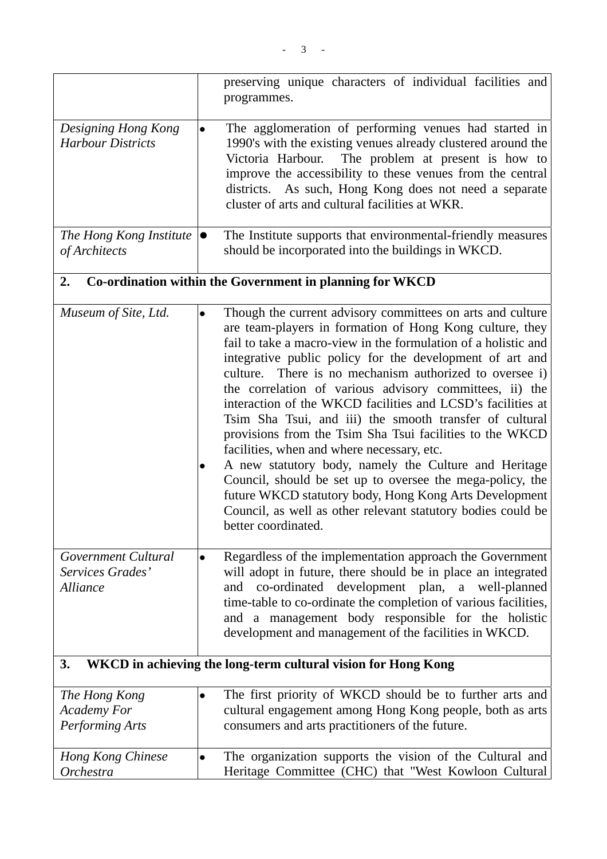|                                                               |           | preserving unique characters of individual facilities and<br>programmes.                                                                                                                                                                                                                                                                                                                                                                                                                                                                                                                                                                                                                                                                                                                                                                                                              |
|---------------------------------------------------------------|-----------|---------------------------------------------------------------------------------------------------------------------------------------------------------------------------------------------------------------------------------------------------------------------------------------------------------------------------------------------------------------------------------------------------------------------------------------------------------------------------------------------------------------------------------------------------------------------------------------------------------------------------------------------------------------------------------------------------------------------------------------------------------------------------------------------------------------------------------------------------------------------------------------|
| Designing Hong Kong<br><b>Harbour Districts</b>               | $\bullet$ | The agglomeration of performing venues had started in<br>1990's with the existing venues already clustered around the<br>The problem at present is how to<br>Victoria Harbour.<br>improve the accessibility to these venues from the central<br>districts. As such, Hong Kong does not need a separate<br>cluster of arts and cultural facilities at WKR.                                                                                                                                                                                                                                                                                                                                                                                                                                                                                                                             |
| The Hong Kong Institute<br>of Architects                      | $\bullet$ | The Institute supports that environmental-friendly measures<br>should be incorporated into the buildings in WKCD.                                                                                                                                                                                                                                                                                                                                                                                                                                                                                                                                                                                                                                                                                                                                                                     |
| 2.                                                            |           | Co-ordination within the Government in planning for WKCD                                                                                                                                                                                                                                                                                                                                                                                                                                                                                                                                                                                                                                                                                                                                                                                                                              |
| Museum of Site, Ltd.                                          | $\bullet$ | Though the current advisory committees on arts and culture<br>are team-players in formation of Hong Kong culture, they<br>fail to take a macro-view in the formulation of a holistic and<br>integrative public policy for the development of art and<br>culture. There is no mechanism authorized to oversee i)<br>the correlation of various advisory committees, ii) the<br>interaction of the WKCD facilities and LCSD's facilities at<br>Tsim Sha Tsui, and iii) the smooth transfer of cultural<br>provisions from the Tsim Sha Tsui facilities to the WKCD<br>facilities, when and where necessary, etc.<br>A new statutory body, namely the Culture and Heritage<br>Council, should be set up to oversee the mega-policy, the<br>future WKCD statutory body, Hong Kong Arts Development<br>Council, as well as other relevant statutory bodies could be<br>better coordinated. |
| Government Cultural<br>Services Grades'<br><b>Alliance</b>    | $\bullet$ | Regardless of the implementation approach the Government<br>will adopt in future, there should be in place an integrated<br>co-ordinated development plan, a well-planned<br>and<br>time-table to co-ordinate the completion of various facilities,<br>and a management body responsible for the holistic<br>development and management of the facilities in WKCD.                                                                                                                                                                                                                                                                                                                                                                                                                                                                                                                    |
| 3.                                                            |           | WKCD in achieving the long-term cultural vision for Hong Kong                                                                                                                                                                                                                                                                                                                                                                                                                                                                                                                                                                                                                                                                                                                                                                                                                         |
| The Hong Kong<br><b>Academy For</b><br><b>Performing Arts</b> | $\bullet$ | The first priority of WKCD should be to further arts and<br>cultural engagement among Hong Kong people, both as arts<br>consumers and arts practitioners of the future.                                                                                                                                                                                                                                                                                                                                                                                                                                                                                                                                                                                                                                                                                                               |
| Hong Kong Chinese<br><b>Orchestra</b>                         | $\bullet$ | The organization supports the vision of the Cultural and<br>Heritage Committee (CHC) that "West Kowloon Cultural                                                                                                                                                                                                                                                                                                                                                                                                                                                                                                                                                                                                                                                                                                                                                                      |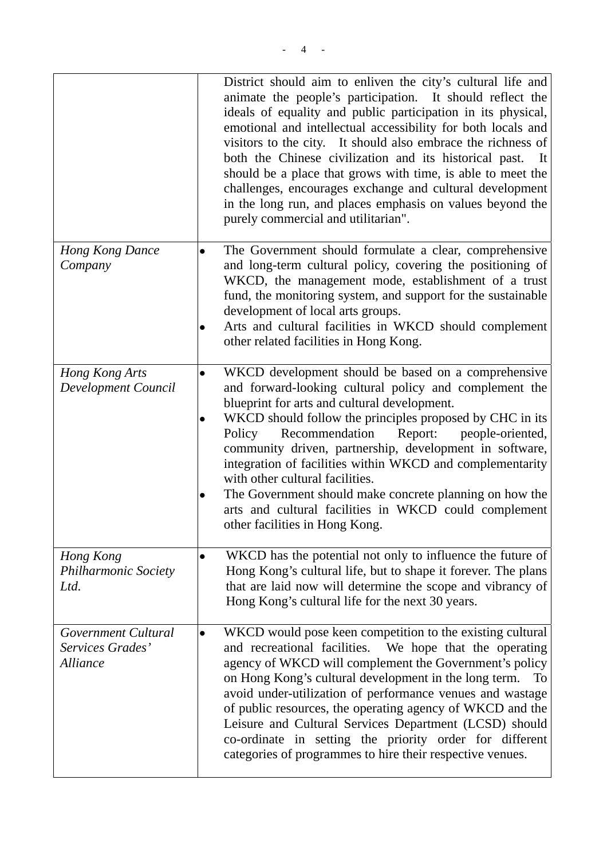|                                                            | District should aim to enliven the city's cultural life and<br>animate the people's participation. It should reflect the<br>ideals of equality and public participation in its physical,<br>emotional and intellectual accessibility for both locals and<br>visitors to the city. It should also embrace the richness of<br>both the Chinese civilization and its historical past.<br>- It<br>should be a place that grows with time, is able to meet the<br>challenges, encourages exchange and cultural development<br>in the long run, and places emphasis on values beyond the<br>purely commercial and utilitarian". |
|------------------------------------------------------------|---------------------------------------------------------------------------------------------------------------------------------------------------------------------------------------------------------------------------------------------------------------------------------------------------------------------------------------------------------------------------------------------------------------------------------------------------------------------------------------------------------------------------------------------------------------------------------------------------------------------------|
| Hong Kong Dance<br>Company                                 | The Government should formulate a clear, comprehensive<br>and long-term cultural policy, covering the positioning of<br>WKCD, the management mode, establishment of a trust<br>fund, the monitoring system, and support for the sustainable<br>development of local arts groups.<br>Arts and cultural facilities in WKCD should complement<br>other related facilities in Hong Kong.                                                                                                                                                                                                                                      |
| Hong Kong Arts<br>Development Council                      | WKCD development should be based on a comprehensive<br>and forward-looking cultural policy and complement the<br>blueprint for arts and cultural development.<br>WKCD should follow the principles proposed by CHC in its<br>Policy<br>Recommendation<br>Report:<br>people-oriented,<br>community driven, partnership, development in software,<br>integration of facilities within WKCD and complementarity<br>with other cultural facilities.<br>The Government should make concrete planning on how the<br>arts and cultural facilities in WKCD could complement<br>other facilities in Hong Kong.                     |
| Hong Kong<br><b>Philharmonic Society</b><br>Ltd.           | WKCD has the potential not only to influence the future of<br>$\bullet$<br>Hong Kong's cultural life, but to shape it forever. The plans<br>that are laid now will determine the scope and vibrancy of<br>Hong Kong's cultural life for the next 30 years.                                                                                                                                                                                                                                                                                                                                                                |
| Government Cultural<br>Services Grades'<br><b>Alliance</b> | WKCD would pose keen competition to the existing cultural<br>and recreational facilities.<br>We hope that the operating<br>agency of WKCD will complement the Government's policy<br>on Hong Kong's cultural development in the long term.<br>To<br>avoid under-utilization of performance venues and wastage<br>of public resources, the operating agency of WKCD and the<br>Leisure and Cultural Services Department (LCSD) should<br>co-ordinate in setting the priority order for different                                                                                                                           |

categories of programmes to hire their respective venues.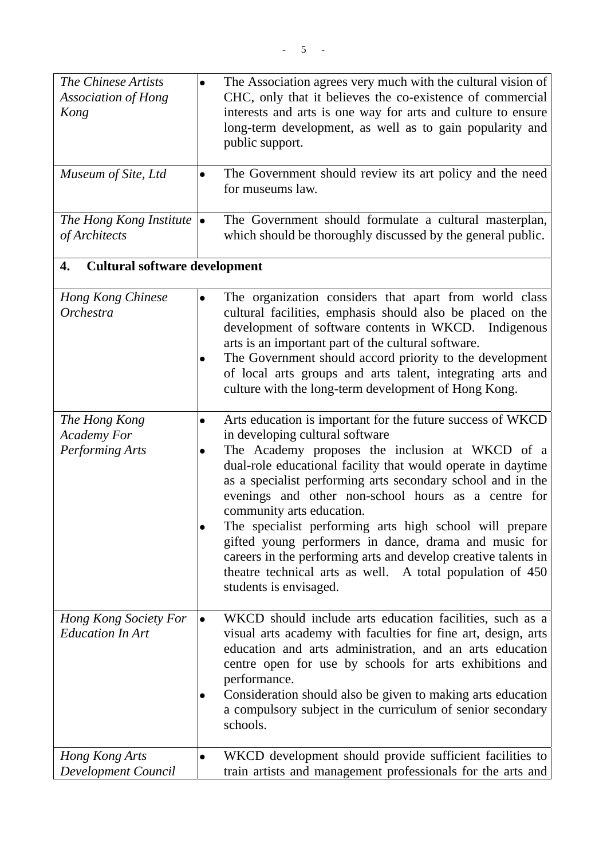| The Chinese Artists<br><b>Association of Hong</b><br>Kong     | The Association agrees very much with the cultural vision of<br>$\bullet$<br>CHC, only that it believes the co-existence of commercial<br>interests and arts is one way for arts and culture to ensure<br>long-term development, as well as to gain popularity and<br>public support.                                                                                                                                                                                                                                                                                                                                                                         |
|---------------------------------------------------------------|---------------------------------------------------------------------------------------------------------------------------------------------------------------------------------------------------------------------------------------------------------------------------------------------------------------------------------------------------------------------------------------------------------------------------------------------------------------------------------------------------------------------------------------------------------------------------------------------------------------------------------------------------------------|
| Museum of Site, Ltd                                           | The Government should review its art policy and the need<br>$\bullet$<br>for museums law.                                                                                                                                                                                                                                                                                                                                                                                                                                                                                                                                                                     |
| The Hong Kong Institute<br>of Architects                      | The Government should formulate a cultural masterplan,<br>lo<br>which should be thoroughly discussed by the general public.                                                                                                                                                                                                                                                                                                                                                                                                                                                                                                                                   |
| <b>Cultural software development</b><br>4.                    |                                                                                                                                                                                                                                                                                                                                                                                                                                                                                                                                                                                                                                                               |
| Hong Kong Chinese<br>Orchestra                                | The organization considers that apart from world class<br>$\bullet$<br>cultural facilities, emphasis should also be placed on the<br>development of software contents in WKCD. Indigenous<br>arts is an important part of the cultural software.<br>The Government should accord priority to the development<br>of local arts groups and arts talent, integrating arts and<br>culture with the long-term development of Hong Kong.                                                                                                                                                                                                                            |
| The Hong Kong<br><b>Academy For</b><br><b>Performing Arts</b> | Arts education is important for the future success of WKCD<br>$\bullet$<br>in developing cultural software<br>The Academy proposes the inclusion at WKCD of a<br>dual-role educational facility that would operate in daytime<br>as a specialist performing arts secondary school and in the<br>evenings and other non-school hours as a centre for<br>community arts education.<br>The specialist performing arts high school will prepare<br>gifted young performers in dance, drama and music for<br>careers in the performing arts and develop creative talents in<br>theatre technical arts as well. A total population of 450<br>students is envisaged. |
| Hong Kong Society For<br><b>Education In Art</b>              | WKCD should include arts education facilities, such as a<br>visual arts academy with faculties for fine art, design, arts<br>education and arts administration, and an arts education<br>centre open for use by schools for arts exhibitions and<br>performance.<br>Consideration should also be given to making arts education<br>a compulsory subject in the curriculum of senior secondary<br>schools.                                                                                                                                                                                                                                                     |
| Hong Kong Arts<br>Development Council                         | WKCD development should provide sufficient facilities to<br>$\bullet$<br>train artists and management professionals for the arts and                                                                                                                                                                                                                                                                                                                                                                                                                                                                                                                          |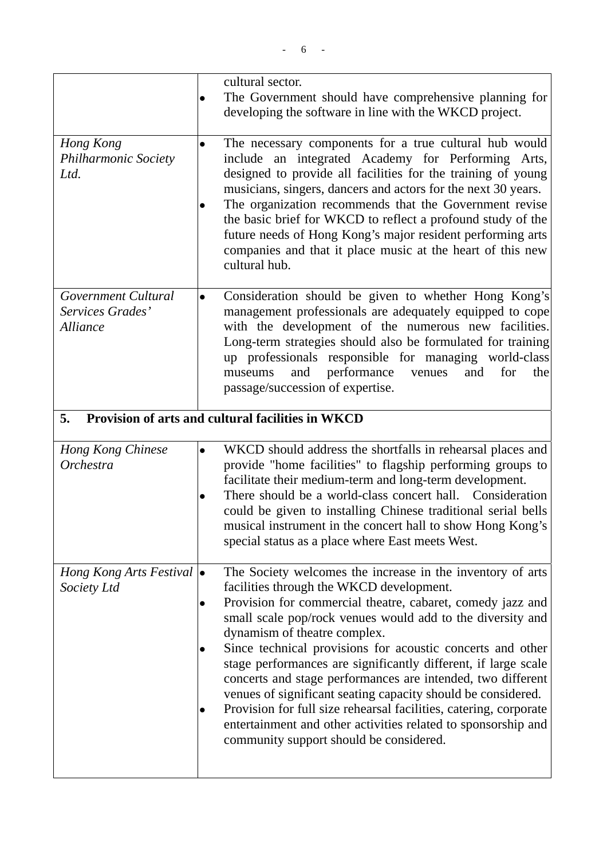|                                                            | cultural sector.<br>The Government should have comprehensive planning for<br>developing the software in line with the WKCD project.                                                                                                                                                                                                                                                                                                                                                                                                                                                                                                                                                                                |
|------------------------------------------------------------|--------------------------------------------------------------------------------------------------------------------------------------------------------------------------------------------------------------------------------------------------------------------------------------------------------------------------------------------------------------------------------------------------------------------------------------------------------------------------------------------------------------------------------------------------------------------------------------------------------------------------------------------------------------------------------------------------------------------|
| Hong Kong<br><b>Philharmonic Society</b><br>Ltd.           | The necessary components for a true cultural hub would<br>include an integrated Academy for Performing Arts,<br>designed to provide all facilities for the training of young<br>musicians, singers, dancers and actors for the next 30 years.<br>The organization recommends that the Government revise<br>the basic brief for WKCD to reflect a profound study of the<br>future needs of Hong Kong's major resident performing arts<br>companies and that it place music at the heart of this new<br>cultural hub.                                                                                                                                                                                                |
| Government Cultural<br>Services Grades'<br><b>Alliance</b> | Consideration should be given to whether Hong Kong's<br>management professionals are adequately equipped to cope<br>with the development of the numerous new facilities.<br>Long-term strategies should also be formulated for training<br>up professionals responsible for managing world-class<br>performance<br>for<br>and<br>venues<br>and<br>the<br>museums<br>passage/succession of expertise.                                                                                                                                                                                                                                                                                                               |
| 5.                                                         | Provision of arts and cultural facilities in WKCD                                                                                                                                                                                                                                                                                                                                                                                                                                                                                                                                                                                                                                                                  |
| Hong Kong Chinese<br>Orchestra                             | WKCD should address the shortfalls in rehearsal places and<br>$\bullet$<br>provide "home facilities" to flagship performing groups to<br>facilitate their medium-term and long-term development.<br>There should be a world-class concert hall. Consideration<br>could be given to installing Chinese traditional serial bells<br>musical instrument in the concert hall to show Hong Kong's<br>special status as a place where East meets West.                                                                                                                                                                                                                                                                   |
| Hong Kong Arts Festival $\bullet$<br>Society Ltd           | The Society welcomes the increase in the inventory of arts<br>facilities through the WKCD development.<br>Provision for commercial theatre, cabaret, comedy jazz and<br>small scale pop/rock venues would add to the diversity and<br>dynamism of theatre complex.<br>Since technical provisions for acoustic concerts and other<br>stage performances are significantly different, if large scale<br>concerts and stage performances are intended, two different<br>venues of significant seating capacity should be considered.<br>Provision for full size rehearsal facilities, catering, corporate<br>entertainment and other activities related to sponsorship and<br>community support should be considered. |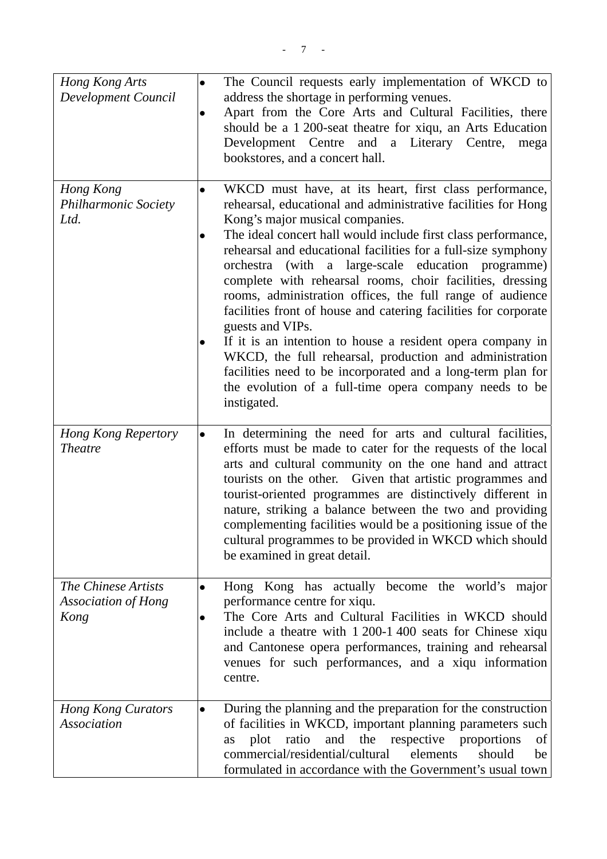| Hong Kong Arts<br>Development Council                     | $\bullet$<br>$\bullet$ | The Council requests early implementation of WKCD to<br>address the shortage in performing venues.<br>Apart from the Core Arts and Cultural Facilities, there<br>should be a 1 200-seat theatre for xiqu, an Arts Education<br>Development Centre and a Literary Centre,<br>mega<br>bookstores, and a concert hall.                                                                                                                                                                                                                                                                                                                                                                                                                                                                                                                  |
|-----------------------------------------------------------|------------------------|--------------------------------------------------------------------------------------------------------------------------------------------------------------------------------------------------------------------------------------------------------------------------------------------------------------------------------------------------------------------------------------------------------------------------------------------------------------------------------------------------------------------------------------------------------------------------------------------------------------------------------------------------------------------------------------------------------------------------------------------------------------------------------------------------------------------------------------|
| Hong Kong<br><b>Philharmonic Society</b><br>Ltd.          |                        | WKCD must have, at its heart, first class performance,<br>rehearsal, educational and administrative facilities for Hong<br>Kong's major musical companies.<br>The ideal concert hall would include first class performance,<br>rehearsal and educational facilities for a full-size symphony<br>orchestra (with a large-scale education programme)<br>complete with rehearsal rooms, choir facilities, dressing<br>rooms, administration offices, the full range of audience<br>facilities front of house and catering facilities for corporate<br>guests and VIPs.<br>If it is an intention to house a resident opera company in<br>WKCD, the full rehearsal, production and administration<br>facilities need to be incorporated and a long-term plan for<br>the evolution of a full-time opera company needs to be<br>instigated. |
| <b>Hong Kong Repertory</b><br><b>Theatre</b>              | $\bullet$              | In determining the need for arts and cultural facilities,<br>efforts must be made to cater for the requests of the local<br>arts and cultural community on the one hand and attract<br>tourists on the other. Given that artistic programmes and<br>tourist-oriented programmes are distinctively different in<br>nature, striking a balance between the two and providing<br>complementing facilities would be a positioning issue of the<br>cultural programmes to be provided in WKCD which should<br>be examined in great detail.                                                                                                                                                                                                                                                                                                |
| The Chinese Artists<br><b>Association of Hong</b><br>Kong | $\bullet$              | Hong Kong has actually become the world's major<br>performance centre for xiqu.<br>The Core Arts and Cultural Facilities in WKCD should<br>include a theatre with 1 200-1 400 seats for Chinese xiqu<br>and Cantonese opera performances, training and rehearsal<br>venues for such performances, and a xiqu information<br>centre.                                                                                                                                                                                                                                                                                                                                                                                                                                                                                                  |
| <b>Hong Kong Curators</b><br><b>Association</b>           | $\bullet$              | During the planning and the preparation for the construction<br>of facilities in WKCD, important planning parameters such<br>and the respective proportions<br>ratio<br>plot<br>of<br>as<br>commercial/residential/cultural<br>elements<br>should<br>be<br>formulated in accordance with the Government's usual town                                                                                                                                                                                                                                                                                                                                                                                                                                                                                                                 |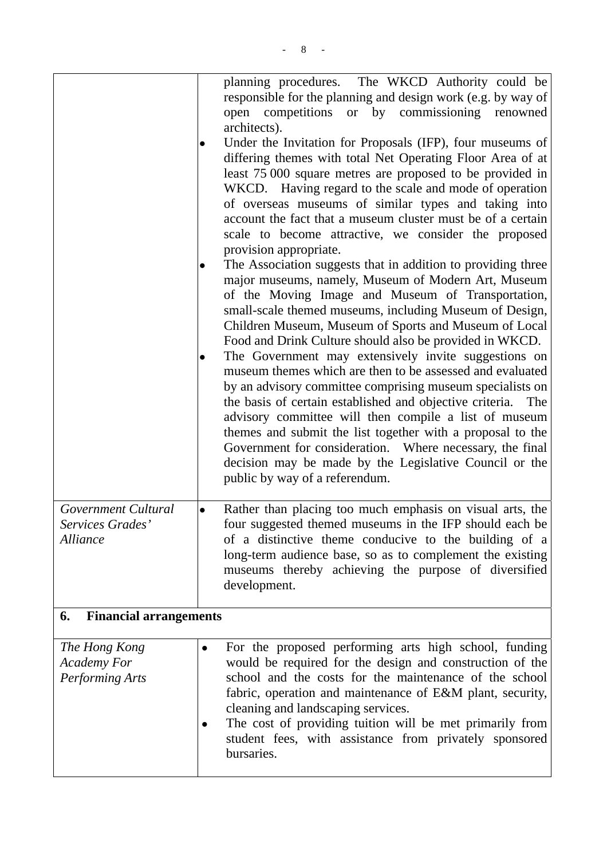|                                                        |           | planning procedures. The WKCD Authority could be<br>responsible for the planning and design work (e.g. by way of<br>open competitions<br>or by commissioning renowned<br>architects).<br>Under the Invitation for Proposals (IFP), four museums of<br>differing themes with total Net Operating Floor Area of at<br>least 75 000 square metres are proposed to be provided in<br>WKCD. Having regard to the scale and mode of operation<br>of overseas museums of similar types and taking into<br>account the fact that a museum cluster must be of a certain<br>scale to become attractive, we consider the proposed<br>provision appropriate.<br>The Association suggests that in addition to providing three<br>major museums, namely, Museum of Modern Art, Museum<br>of the Moving Image and Museum of Transportation,<br>small-scale themed museums, including Museum of Design,<br>Children Museum, Museum of Sports and Museum of Local<br>Food and Drink Culture should also be provided in WKCD.<br>The Government may extensively invite suggestions on<br>museum themes which are then to be assessed and evaluated<br>by an advisory committee comprising museum specialists on<br>the basis of certain established and objective criteria.<br>The<br>advisory committee will then compile a list of museum<br>themes and submit the list together with a proposal to the<br>Government for consideration. Where necessary, the final<br>decision may be made by the Legislative Council or the<br>public by way of a referendum. |
|--------------------------------------------------------|-----------|-------------------------------------------------------------------------------------------------------------------------------------------------------------------------------------------------------------------------------------------------------------------------------------------------------------------------------------------------------------------------------------------------------------------------------------------------------------------------------------------------------------------------------------------------------------------------------------------------------------------------------------------------------------------------------------------------------------------------------------------------------------------------------------------------------------------------------------------------------------------------------------------------------------------------------------------------------------------------------------------------------------------------------------------------------------------------------------------------------------------------------------------------------------------------------------------------------------------------------------------------------------------------------------------------------------------------------------------------------------------------------------------------------------------------------------------------------------------------------------------------------------------------------------------------|
| Government Cultural<br>Services Grades'<br>Alliance    |           | Rather than placing too much emphasis on visual arts, the<br>four suggested themed museums in the IFP should each be<br>of a distinctive theme conducive to the building of a<br>long-term audience base, so as to complement the existing<br>museums thereby achieving the purpose of diversified<br>development.                                                                                                                                                                                                                                                                                                                                                                                                                                                                                                                                                                                                                                                                                                                                                                                                                                                                                                                                                                                                                                                                                                                                                                                                                              |
| <b>Financial arrangements</b><br>6.                    |           |                                                                                                                                                                                                                                                                                                                                                                                                                                                                                                                                                                                                                                                                                                                                                                                                                                                                                                                                                                                                                                                                                                                                                                                                                                                                                                                                                                                                                                                                                                                                                 |
| The Hong Kong<br><b>Academy For</b><br>Performing Arts | $\bullet$ | For the proposed performing arts high school, funding<br>would be required for the design and construction of the<br>school and the costs for the maintenance of the school<br>fabric, operation and maintenance of E&M plant, security,<br>cleaning and landscaping services.<br>The cost of providing tuition will be met primarily from<br>student fees, with assistance from privately sponsored<br>bursaries.                                                                                                                                                                                                                                                                                                                                                                                                                                                                                                                                                                                                                                                                                                                                                                                                                                                                                                                                                                                                                                                                                                                              |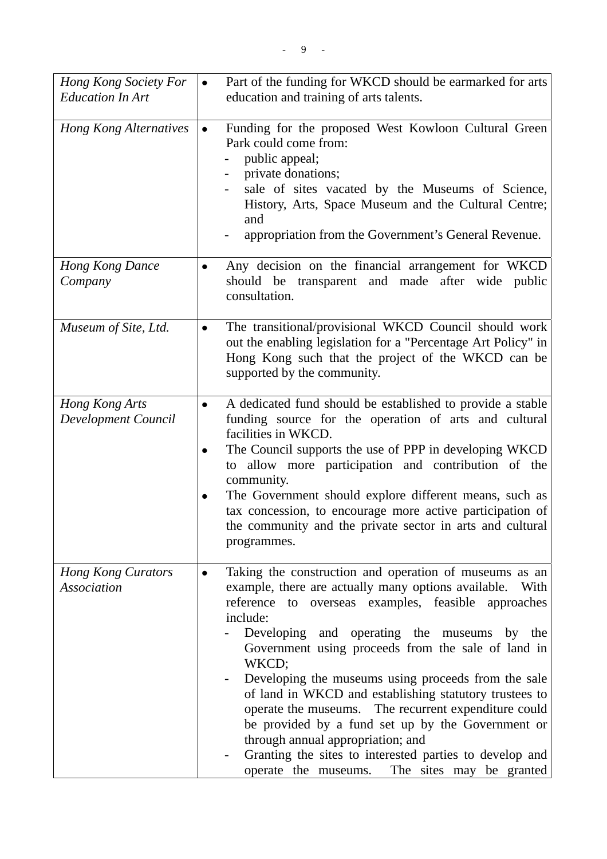| Hong Kong Society For<br><b>Education In Art</b> | $\bullet$ | Part of the funding for WKCD should be earmarked for arts<br>education and training of arts talents.                                                                                                                                                                                                                                                                                                                                                                                                                                                                                                                                                                                  |
|--------------------------------------------------|-----------|---------------------------------------------------------------------------------------------------------------------------------------------------------------------------------------------------------------------------------------------------------------------------------------------------------------------------------------------------------------------------------------------------------------------------------------------------------------------------------------------------------------------------------------------------------------------------------------------------------------------------------------------------------------------------------------|
| <b>Hong Kong Alternatives</b>                    |           | Funding for the proposed West Kowloon Cultural Green<br>Park could come from:<br>public appeal;<br>private donations;<br>sale of sites vacated by the Museums of Science,<br>History, Arts, Space Museum and the Cultural Centre;<br>and<br>appropriation from the Government's General Revenue.                                                                                                                                                                                                                                                                                                                                                                                      |
| <b>Hong Kong Dance</b><br>Company                |           | Any decision on the financial arrangement for WKCD<br>should be transparent and made after wide public<br>consultation.                                                                                                                                                                                                                                                                                                                                                                                                                                                                                                                                                               |
| Museum of Site, Ltd.                             | $\bullet$ | The transitional/provisional WKCD Council should work<br>out the enabling legislation for a "Percentage Art Policy" in<br>Hong Kong such that the project of the WKCD can be<br>supported by the community.                                                                                                                                                                                                                                                                                                                                                                                                                                                                           |
| Hong Kong Arts<br>Development Council            | $\bullet$ | A dedicated fund should be established to provide a stable<br>funding source for the operation of arts and cultural<br>facilities in WKCD.<br>The Council supports the use of PPP in developing WKCD<br>allow more participation and contribution of the<br>to<br>community.<br>The Government should explore different means, such as<br>tax concession, to encourage more active participation of<br>the community and the private sector in arts and cultural<br>programmes.                                                                                                                                                                                                       |
| <b>Hong Kong Curators</b><br><b>Association</b>  |           | Taking the construction and operation of museums as an<br>example, there are actually many options available.<br>With<br>reference to overseas examples, feasible approaches<br>include:<br>Developing and operating the museums by the<br>Government using proceeds from the sale of land in<br>WKCD;<br>Developing the museums using proceeds from the sale<br>of land in WKCD and establishing statutory trustees to<br>operate the museums. The recurrent expenditure could<br>be provided by a fund set up by the Government or<br>through annual appropriation; and<br>Granting the sites to interested parties to develop and<br>operate the museums. The sites may be granted |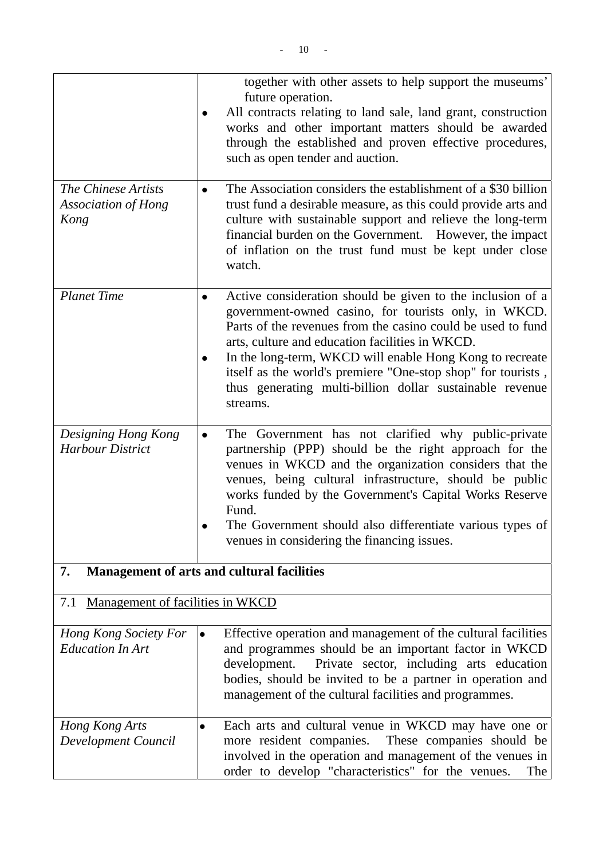|                                                           | together with other assets to help support the museums'<br>future operation.                                                                                                                                                                                                                                                                                                                                                                          |
|-----------------------------------------------------------|-------------------------------------------------------------------------------------------------------------------------------------------------------------------------------------------------------------------------------------------------------------------------------------------------------------------------------------------------------------------------------------------------------------------------------------------------------|
|                                                           | All contracts relating to land sale, land grant, construction<br>works and other important matters should be awarded<br>through the established and proven effective procedures,<br>such as open tender and auction.                                                                                                                                                                                                                                  |
| The Chinese Artists<br><b>Association of Hong</b><br>Kong | The Association considers the establishment of a \$30 billion<br>$\bullet$<br>trust fund a desirable measure, as this could provide arts and<br>culture with sustainable support and relieve the long-term<br>financial burden on the Government. However, the impact<br>of inflation on the trust fund must be kept under close<br>watch.                                                                                                            |
| <b>Planet Time</b>                                        | Active consideration should be given to the inclusion of a<br>$\bullet$<br>government-owned casino, for tourists only, in WKCD.<br>Parts of the revenues from the casino could be used to fund<br>arts, culture and education facilities in WKCD.<br>In the long-term, WKCD will enable Hong Kong to recreate<br>itself as the world's premiere "One-stop shop" for tourists,<br>thus generating multi-billion dollar sustainable revenue<br>streams. |
| Designing Hong Kong<br><b>Harbour District</b>            | The Government has not clarified why public-private<br>$\bullet$<br>partnership (PPP) should be the right approach for the<br>venues in WKCD and the organization considers that the<br>venues, being cultural infrastructure, should be public<br>works funded by the Government's Capital Works Reserve<br>Fund.<br>The Government should also differentiate various types of<br>venues in considering the financing issues.                        |
| 7.                                                        | <b>Management of arts and cultural facilities</b>                                                                                                                                                                                                                                                                                                                                                                                                     |
| Management of facilities in WKCD<br>7.1                   |                                                                                                                                                                                                                                                                                                                                                                                                                                                       |
| Hong Kong Society For<br><b>Education In Art</b>          | Effective operation and management of the cultural facilities<br>$\bullet$<br>and programmes should be an important factor in WKCD<br>Private sector, including arts education<br>development.<br>bodies, should be invited to be a partner in operation and<br>management of the cultural facilities and programmes.                                                                                                                                 |
| Hong Kong Arts<br>Development Council                     | Each arts and cultural venue in WKCD may have one or<br>$\bullet$<br>more resident companies.<br>These companies should be<br>involved in the operation and management of the venues in<br>order to develop "characteristics" for the venues.<br>The                                                                                                                                                                                                  |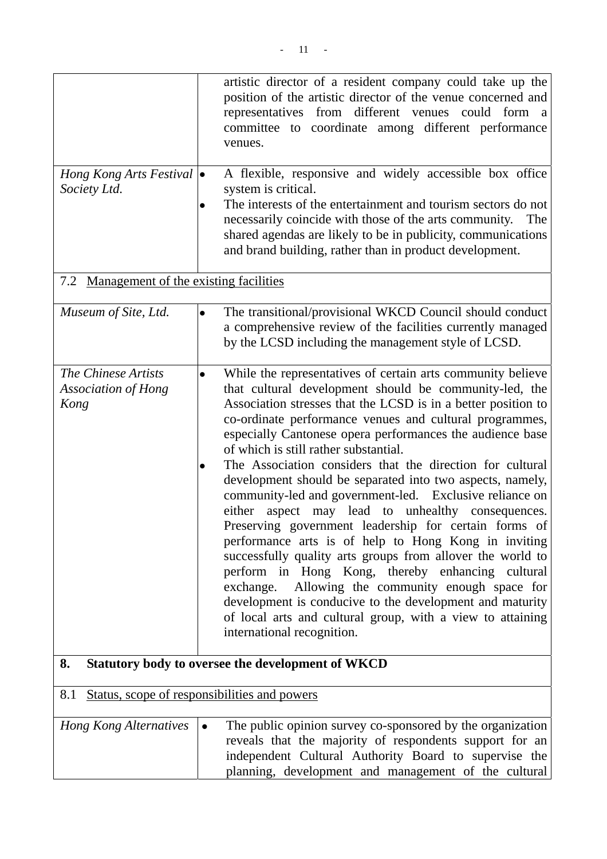| Hong Kong Arts Festival $\bullet$<br>Society Ltd.         | artistic director of a resident company could take up the<br>position of the artistic director of the venue concerned and<br>representatives from different venues could form a<br>committee to coordinate among different performance<br>venues.<br>A flexible, responsive and widely accessible box office<br>system is critical.<br>The interests of the entertainment and tourism sectors do not<br>$\bullet$<br>necessarily coincide with those of the arts community.<br>The<br>shared agendas are likely to be in publicity, communications<br>and brand building, rather than in product development.                                                                                                                                                                                                                                                                                                                                                                                                                                                       |
|-----------------------------------------------------------|---------------------------------------------------------------------------------------------------------------------------------------------------------------------------------------------------------------------------------------------------------------------------------------------------------------------------------------------------------------------------------------------------------------------------------------------------------------------------------------------------------------------------------------------------------------------------------------------------------------------------------------------------------------------------------------------------------------------------------------------------------------------------------------------------------------------------------------------------------------------------------------------------------------------------------------------------------------------------------------------------------------------------------------------------------------------|
| 7.2 Management of the existing facilities                 |                                                                                                                                                                                                                                                                                                                                                                                                                                                                                                                                                                                                                                                                                                                                                                                                                                                                                                                                                                                                                                                                     |
| Museum of Site, Ltd.                                      | The transitional/provisional WKCD Council should conduct<br>$\bullet$<br>a comprehensive review of the facilities currently managed<br>by the LCSD including the management style of LCSD.                                                                                                                                                                                                                                                                                                                                                                                                                                                                                                                                                                                                                                                                                                                                                                                                                                                                          |
| The Chinese Artists<br><b>Association of Hong</b><br>Kong | While the representatives of certain arts community believe<br>$\bullet$<br>that cultural development should be community-led, the<br>Association stresses that the LCSD is in a better position to<br>co-ordinate performance venues and cultural programmes,<br>especially Cantonese opera performances the audience base<br>of which is still rather substantial.<br>The Association considers that the direction for cultural<br>٠<br>development should be separated into two aspects, namely,<br>community-led and government-led. Exclusive reliance on<br>either aspect may lead to unhealthy consequences.<br>Preserving government leadership for certain forms of<br>performance arts is of help to Hong Kong in inviting<br>successfully quality arts groups from allover the world to<br>perform in Hong Kong, thereby enhancing cultural<br>exchange. Allowing the community enough space for<br>development is conducive to the development and maturity<br>of local arts and cultural group, with a view to attaining<br>international recognition. |
| 8.                                                        | Statutory body to oversee the development of WKCD                                                                                                                                                                                                                                                                                                                                                                                                                                                                                                                                                                                                                                                                                                                                                                                                                                                                                                                                                                                                                   |
| 8.1                                                       | Status, scope of responsibilities and powers                                                                                                                                                                                                                                                                                                                                                                                                                                                                                                                                                                                                                                                                                                                                                                                                                                                                                                                                                                                                                        |
| <b>Hong Kong Alternatives</b>                             | The public opinion survey co-sponsored by the organization<br>$\bullet$<br>reveals that the majority of respondents support for an<br>independent Cultural Authority Board to supervise the<br>planning, development and management of the cultural                                                                                                                                                                                                                                                                                                                                                                                                                                                                                                                                                                                                                                                                                                                                                                                                                 |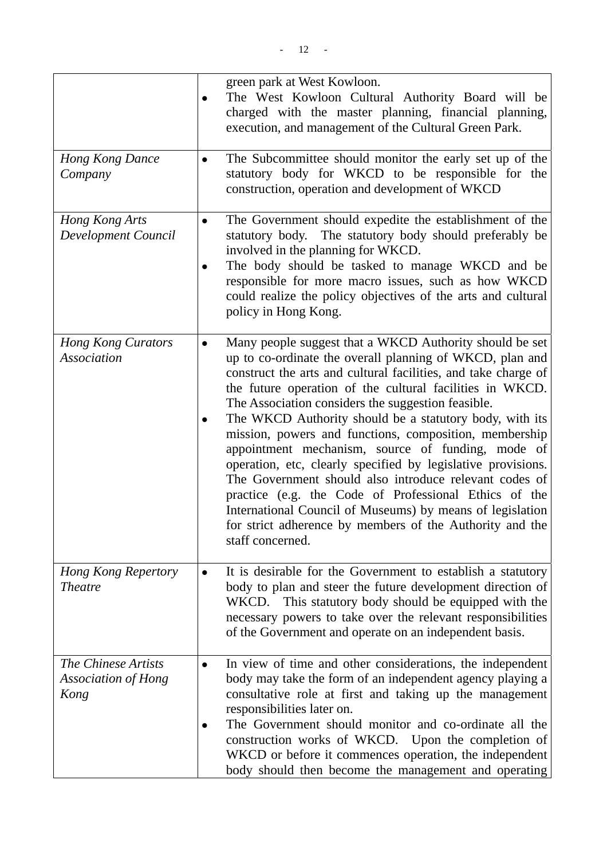|                                                           |                        | green park at West Kowloon.<br>The West Kowloon Cultural Authority Board will be<br>charged with the master planning, financial planning,<br>execution, and management of the Cultural Green Park.                                                                                                                                                                                                                                                                                                                                                                                                                                                                                                                                                                                                                |
|-----------------------------------------------------------|------------------------|-------------------------------------------------------------------------------------------------------------------------------------------------------------------------------------------------------------------------------------------------------------------------------------------------------------------------------------------------------------------------------------------------------------------------------------------------------------------------------------------------------------------------------------------------------------------------------------------------------------------------------------------------------------------------------------------------------------------------------------------------------------------------------------------------------------------|
| <b>Hong Kong Dance</b><br>Company                         | $\bullet$              | The Subcommittee should monitor the early set up of the<br>statutory body for WKCD to be responsible for the<br>construction, operation and development of WKCD                                                                                                                                                                                                                                                                                                                                                                                                                                                                                                                                                                                                                                                   |
| Hong Kong Arts<br>Development Council                     | $\bullet$<br>$\bullet$ | The Government should expedite the establishment of the<br>statutory body. The statutory body should preferably be<br>involved in the planning for WKCD.<br>The body should be tasked to manage WKCD and be<br>responsible for more macro issues, such as how WKCD<br>could realize the policy objectives of the arts and cultural<br>policy in Hong Kong.                                                                                                                                                                                                                                                                                                                                                                                                                                                        |
| <b>Hong Kong Curators</b><br><b>Association</b>           |                        | Many people suggest that a WKCD Authority should be set<br>up to co-ordinate the overall planning of WKCD, plan and<br>construct the arts and cultural facilities, and take charge of<br>the future operation of the cultural facilities in WKCD.<br>The Association considers the suggestion feasible.<br>The WKCD Authority should be a statutory body, with its<br>mission, powers and functions, composition, membership<br>appointment mechanism, source of funding, mode of<br>operation, etc, clearly specified by legislative provisions.<br>The Government should also introduce relevant codes of<br>practice (e.g. the Code of Professional Ethics of the<br>International Council of Museums) by means of legislation<br>for strict adherence by members of the Authority and the<br>staff concerned. |
| <b>Hong Kong Repertory</b><br><b>Theatre</b>              | $\bullet$              | It is desirable for the Government to establish a statutory<br>body to plan and steer the future development direction of<br>WKCD. This statutory body should be equipped with the<br>necessary powers to take over the relevant responsibilities<br>of the Government and operate on an independent basis.                                                                                                                                                                                                                                                                                                                                                                                                                                                                                                       |
| The Chinese Artists<br><b>Association of Hong</b><br>Kong |                        | In view of time and other considerations, the independent<br>body may take the form of an independent agency playing a<br>consultative role at first and taking up the management<br>responsibilities later on.<br>The Government should monitor and co-ordinate all the<br>construction works of WKCD. Upon the completion of<br>WKCD or before it commences operation, the independent<br>body should then become the management and operating                                                                                                                                                                                                                                                                                                                                                                  |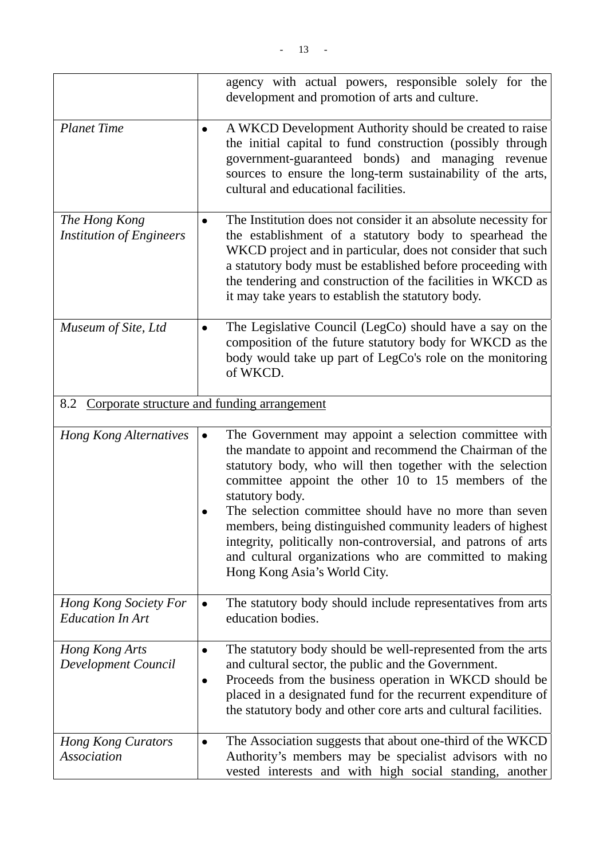|                                                  | agency with actual powers, responsible solely for the<br>development and promotion of arts and culture.                                                                                                                                                                                                                                                                                                                                                                                                                                    |
|--------------------------------------------------|--------------------------------------------------------------------------------------------------------------------------------------------------------------------------------------------------------------------------------------------------------------------------------------------------------------------------------------------------------------------------------------------------------------------------------------------------------------------------------------------------------------------------------------------|
| <b>Planet Time</b>                               | A WKCD Development Authority should be created to raise<br>the initial capital to fund construction (possibly through<br>government-guaranteed bonds) and managing revenue<br>sources to ensure the long-term sustainability of the arts,<br>cultural and educational facilities.                                                                                                                                                                                                                                                          |
| The Hong Kong<br><b>Institution of Engineers</b> | The Institution does not consider it an absolute necessity for<br>the establishment of a statutory body to spearhead the<br>WKCD project and in particular, does not consider that such<br>a statutory body must be established before proceeding with<br>the tendering and construction of the facilities in WKCD as<br>it may take years to establish the statutory body.                                                                                                                                                                |
| Museum of Site, Ltd                              | The Legislative Council (LegCo) should have a say on the<br>composition of the future statutory body for WKCD as the<br>body would take up part of LegCo's role on the monitoring<br>of WKCD.                                                                                                                                                                                                                                                                                                                                              |
| 8.2                                              | Corporate structure and funding arrangement                                                                                                                                                                                                                                                                                                                                                                                                                                                                                                |
| <b>Hong Kong Alternatives</b>                    | The Government may appoint a selection committee with<br>the mandate to appoint and recommend the Chairman of the<br>statutory body, who will then together with the selection<br>committee appoint the other 10 to 15 members of the<br>statutory body.<br>The selection committee should have no more than seven<br>members, being distinguished community leaders of highest<br>integrity, politically non-controversial, and patrons of arts<br>and cultural organizations who are committed to making<br>Hong Kong Asia's World City. |
| Hong Kong Society For<br><b>Education In Art</b> | The statutory body should include representatives from arts<br>education bodies.                                                                                                                                                                                                                                                                                                                                                                                                                                                           |
| Hong Kong Arts<br><b>Development Council</b>     | The statutory body should be well-represented from the arts<br>and cultural sector, the public and the Government.<br>Proceeds from the business operation in WKCD should be<br>$\bullet$<br>placed in a designated fund for the recurrent expenditure of<br>the statutory body and other core arts and cultural facilities.                                                                                                                                                                                                               |
| <b>Hong Kong Curators</b><br><b>Association</b>  | The Association suggests that about one-third of the WKCD<br>Authority's members may be specialist advisors with no<br>vested interests and with high social standing, another                                                                                                                                                                                                                                                                                                                                                             |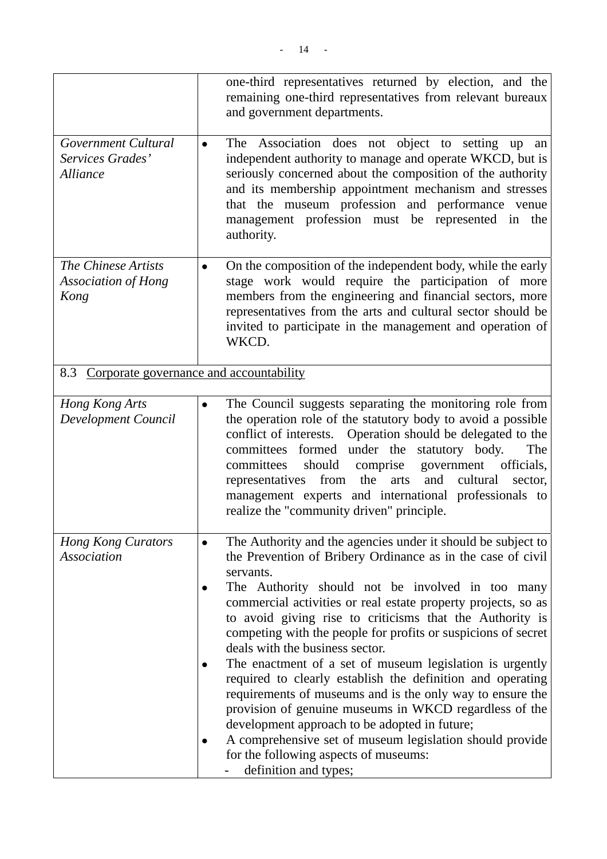|                                                                   |           | one-third representatives returned by election, and the<br>remaining one-third representatives from relevant bureaux<br>and government departments.                                                                                                                                                                                                                                                                                                                                                                                                                                                                  |
|-------------------------------------------------------------------|-----------|----------------------------------------------------------------------------------------------------------------------------------------------------------------------------------------------------------------------------------------------------------------------------------------------------------------------------------------------------------------------------------------------------------------------------------------------------------------------------------------------------------------------------------------------------------------------------------------------------------------------|
| Government Cultural<br>Services Grades'<br><i><b>Alliance</b></i> | $\bullet$ | The Association does not object to setting up<br>an<br>independent authority to manage and operate WKCD, but is<br>seriously concerned about the composition of the authority<br>and its membership appointment mechanism and stresses<br>that the museum profession and performance venue<br>management profession must be represented in the<br>authority.                                                                                                                                                                                                                                                         |
| The Chinese Artists<br><b>Association of Hong</b><br>Kong         | $\bullet$ | On the composition of the independent body, while the early<br>stage work would require the participation of more<br>members from the engineering and financial sectors, more<br>representatives from the arts and cultural sector should be<br>invited to participate in the management and operation of<br>WKCD.                                                                                                                                                                                                                                                                                                   |
| Corporate governance and accountability<br>8.3                    |           |                                                                                                                                                                                                                                                                                                                                                                                                                                                                                                                                                                                                                      |
| Hong Kong Arts<br>Development Council                             | $\bullet$ | The Council suggests separating the monitoring role from<br>the operation role of the statutory body to avoid a possible<br>conflict of interests. Operation should be delegated to the<br>committees formed under the statutory body.<br>The<br>committees<br>should<br>comprise<br>government<br>officials,<br>from the<br>and<br>cultural<br>representatives<br>arts<br>sector,<br>management experts and international professionals to<br>realize the "community driven" principle.                                                                                                                             |
| <b>Hong Kong Curators</b><br><b>Association</b>                   |           | The Authority and the agencies under it should be subject to<br>the Prevention of Bribery Ordinance as in the case of civil<br>servants.<br>The Authority should not be involved in too many<br>commercial activities or real estate property projects, so as<br>to avoid giving rise to criticisms that the Authority is<br>competing with the people for profits or suspicions of secret<br>deals with the business sector.<br>The enactment of a set of museum legislation is urgently<br>required to clearly establish the definition and operating<br>requirements of museums and is the only way to ensure the |
|                                                                   |           | provision of genuine museums in WKCD regardless of the<br>development approach to be adopted in future;<br>A comprehensive set of museum legislation should provide<br>for the following aspects of museums:<br>definition and types;                                                                                                                                                                                                                                                                                                                                                                                |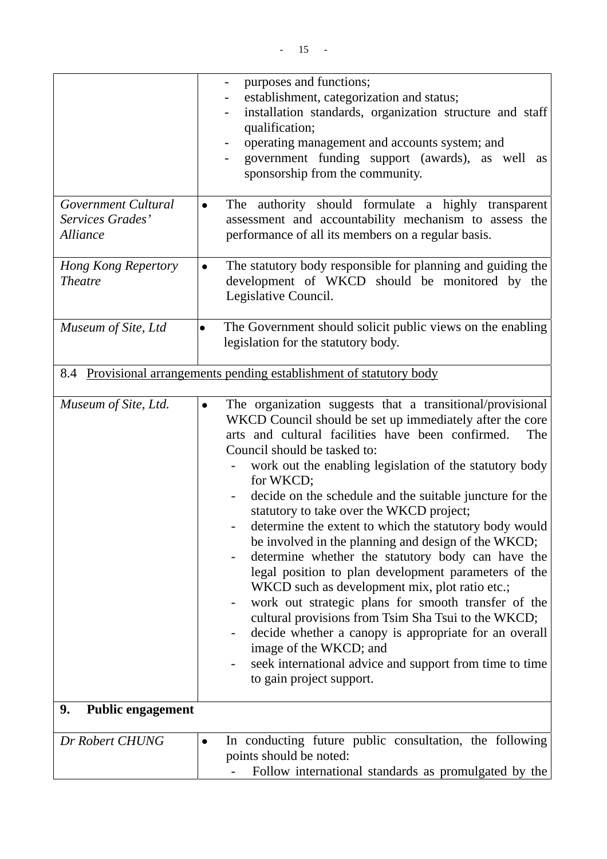|                                                     | purposes and functions;<br>$\overline{\phantom{0}}$<br>establishment, categorization and status;                                                                                                                                                                                                                                                                                                                                                                                                                                                                                                                                                                                                                                                                                                                                                                                                                                                                                       |
|-----------------------------------------------------|----------------------------------------------------------------------------------------------------------------------------------------------------------------------------------------------------------------------------------------------------------------------------------------------------------------------------------------------------------------------------------------------------------------------------------------------------------------------------------------------------------------------------------------------------------------------------------------------------------------------------------------------------------------------------------------------------------------------------------------------------------------------------------------------------------------------------------------------------------------------------------------------------------------------------------------------------------------------------------------|
|                                                     | installation standards, organization structure and staff<br>qualification;                                                                                                                                                                                                                                                                                                                                                                                                                                                                                                                                                                                                                                                                                                                                                                                                                                                                                                             |
|                                                     | operating management and accounts system; and                                                                                                                                                                                                                                                                                                                                                                                                                                                                                                                                                                                                                                                                                                                                                                                                                                                                                                                                          |
|                                                     | government funding support (awards), as well as<br>sponsorship from the community.                                                                                                                                                                                                                                                                                                                                                                                                                                                                                                                                                                                                                                                                                                                                                                                                                                                                                                     |
| Government Cultural<br>Services Grades'<br>Alliance | The authority should formulate a highly transparent<br>$\bullet$<br>assessment and accountability mechanism to assess the<br>performance of all its members on a regular basis.                                                                                                                                                                                                                                                                                                                                                                                                                                                                                                                                                                                                                                                                                                                                                                                                        |
| <b>Hong Kong Repertory</b><br><b>Theatre</b>        | The statutory body responsible for planning and guiding the<br>$\bullet$<br>development of WKCD should be monitored by the<br>Legislative Council.                                                                                                                                                                                                                                                                                                                                                                                                                                                                                                                                                                                                                                                                                                                                                                                                                                     |
| Museum of Site, Ltd                                 | The Government should solicit public views on the enabling<br>$\bullet$<br>legislation for the statutory body.                                                                                                                                                                                                                                                                                                                                                                                                                                                                                                                                                                                                                                                                                                                                                                                                                                                                         |
| 8.4                                                 | Provisional arrangements pending establishment of statutory body                                                                                                                                                                                                                                                                                                                                                                                                                                                                                                                                                                                                                                                                                                                                                                                                                                                                                                                       |
| Museum of Site, Ltd.                                | The organization suggests that a transitional/provisional<br>$\bullet$<br>WKCD Council should be set up immediately after the core<br>arts and cultural facilities have been confirmed.<br>The<br>Council should be tasked to:<br>work out the enabling legislation of the statutory body<br>for WKCD;<br>decide on the schedule and the suitable juncture for the<br>statutory to take over the WKCD project;<br>determine the extent to which the statutory body would<br>be involved in the planning and design of the WKCD;<br>determine whether the statutory body can have the<br>legal position to plan development parameters of the<br>WKCD such as development mix, plot ratio etc.;<br>work out strategic plans for smooth transfer of the<br>cultural provisions from Tsim Sha Tsui to the WKCD;<br>decide whether a canopy is appropriate for an overall<br>image of the WKCD; and<br>seek international advice and support from time to time<br>to gain project support. |
| 9.<br><b>Public engagement</b>                      |                                                                                                                                                                                                                                                                                                                                                                                                                                                                                                                                                                                                                                                                                                                                                                                                                                                                                                                                                                                        |
| Dr Robert CHUNG                                     | In conducting future public consultation, the following<br>$\bullet$<br>points should be noted:<br>Follow international standards as promulgated by the                                                                                                                                                                                                                                                                                                                                                                                                                                                                                                                                                                                                                                                                                                                                                                                                                                |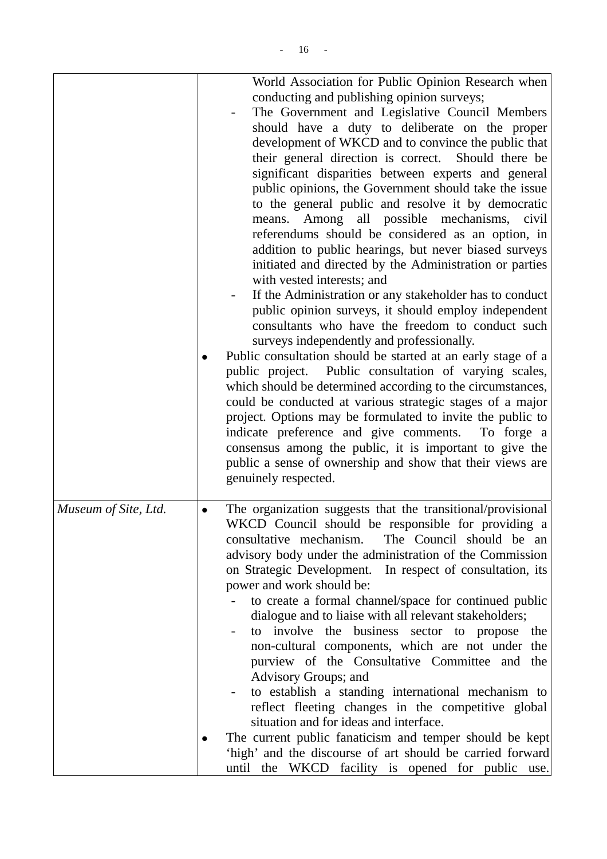| World Association for Public Opinion Research when<br>conducting and publishing opinion surveys;<br>The Government and Legislative Council Members<br>should have a duty to deliberate on the proper<br>development of WKCD and to convince the public that<br>their general direction is correct. Should there be<br>significant disparities between experts and general<br>public opinions, the Government should take the issue<br>to the general public and resolve it by democratic<br>means. Among all possible mechanisms, civil<br>referendums should be considered as an option, in<br>addition to public hearings, but never biased surveys<br>initiated and directed by the Administration or parties<br>with vested interests; and<br>If the Administration or any stakeholder has to conduct<br>public opinion surveys, it should employ independent<br>consultants who have the freedom to conduct such<br>surveys independently and professionally.<br>Public consultation should be started at an early stage of a<br>public project. Public consultation of varying scales,<br>which should be determined according to the circumstances,<br>could be conducted at various strategic stages of a major<br>project. Options may be formulated to invite the public to<br>indicate preference and give comments. To forge a<br>consensus among the public, it is important to give the<br>public a sense of ownership and show that their views are<br>genuinely respected. |
|--------------------------------------------------------------------------------------------------------------------------------------------------------------------------------------------------------------------------------------------------------------------------------------------------------------------------------------------------------------------------------------------------------------------------------------------------------------------------------------------------------------------------------------------------------------------------------------------------------------------------------------------------------------------------------------------------------------------------------------------------------------------------------------------------------------------------------------------------------------------------------------------------------------------------------------------------------------------------------------------------------------------------------------------------------------------------------------------------------------------------------------------------------------------------------------------------------------------------------------------------------------------------------------------------------------------------------------------------------------------------------------------------------------------------------------------------------------------------------------------|
| The organization suggests that the transitional/provisional<br>WKCD Council should be responsible for providing a<br>consultative mechanism. The Council should be an<br>advisory body under the administration of the Commission<br>on Strategic Development. In respect of consultation, its<br>power and work should be:<br>to create a formal channel/space for continued public<br>dialogue and to liaise with all relevant stakeholders;<br>to involve the business sector to propose the<br>non-cultural components, which are not under the<br>purview of the Consultative Committee and the<br>Advisory Groups; and<br>to establish a standing international mechanism to<br>reflect fleeting changes in the competitive global<br>situation and for ideas and interface.<br>The current public fanaticism and temper should be kept<br>'high' and the discourse of art should be carried forward<br>until the WKCD facility is opened for public use.                                                                                                                                                                                                                                                                                                                                                                                                                                                                                                                            |
|                                                                                                                                                                                                                                                                                                                                                                                                                                                                                                                                                                                                                                                                                                                                                                                                                                                                                                                                                                                                                                                                                                                                                                                                                                                                                                                                                                                                                                                                                            |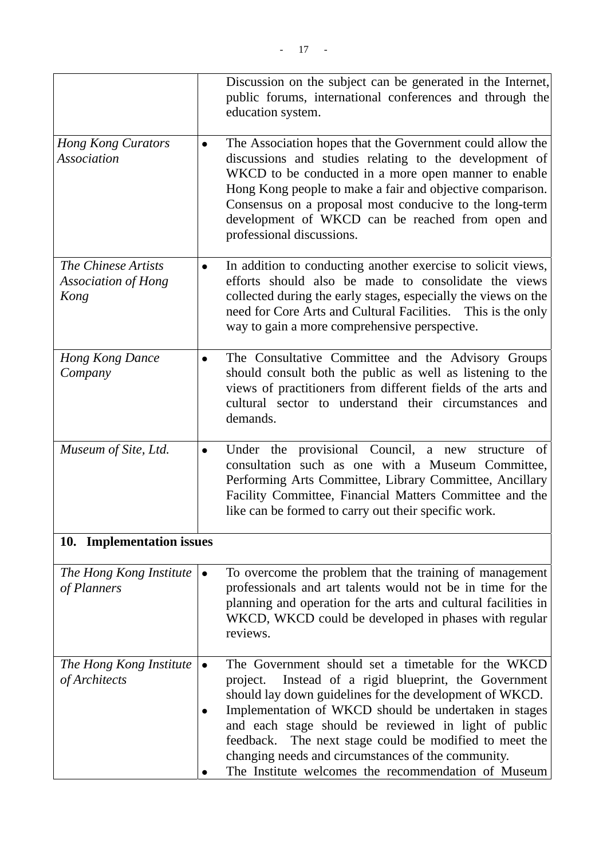|                                                           |           | Discussion on the subject can be generated in the Internet,<br>public forums, international conferences and through the<br>education system.                                                                                                                                                                                                                                                                                                                         |
|-----------------------------------------------------------|-----------|----------------------------------------------------------------------------------------------------------------------------------------------------------------------------------------------------------------------------------------------------------------------------------------------------------------------------------------------------------------------------------------------------------------------------------------------------------------------|
| <b>Hong Kong Curators</b><br><b>Association</b>           | $\bullet$ | The Association hopes that the Government could allow the<br>discussions and studies relating to the development of<br>WKCD to be conducted in a more open manner to enable<br>Hong Kong people to make a fair and objective comparison.<br>Consensus on a proposal most conducive to the long-term<br>development of WKCD can be reached from open and<br>professional discussions.                                                                                 |
| The Chinese Artists<br><b>Association of Hong</b><br>Kong | $\bullet$ | In addition to conducting another exercise to solicit views,<br>efforts should also be made to consolidate the views<br>collected during the early stages, especially the views on the<br>need for Core Arts and Cultural Facilities. This is the only<br>way to gain a more comprehensive perspective.                                                                                                                                                              |
| <b>Hong Kong Dance</b><br>Company                         |           | The Consultative Committee and the Advisory Groups<br>should consult both the public as well as listening to the<br>views of practitioners from different fields of the arts and<br>cultural sector to understand their circumstances and<br>demands.                                                                                                                                                                                                                |
| Museum of Site, Ltd.                                      | $\bullet$ | Under the provisional Council, a new structure<br>of<br>consultation such as one with a Museum Committee,<br>Performing Arts Committee, Library Committee, Ancillary<br>Facility Committee, Financial Matters Committee and the<br>like can be formed to carry out their specific work.                                                                                                                                                                              |
| 10. Implementation issues                                 |           |                                                                                                                                                                                                                                                                                                                                                                                                                                                                      |
| The Hong Kong Institute<br>of Planners                    |           | To overcome the problem that the training of management<br>professionals and art talents would not be in time for the<br>planning and operation for the arts and cultural facilities in<br>WKCD, WKCD could be developed in phases with regular<br>reviews.                                                                                                                                                                                                          |
| The Hong Kong Institute<br>of Architects                  |           | The Government should set a timetable for the WKCD<br>Instead of a rigid blueprint, the Government<br>project.<br>should lay down guidelines for the development of WKCD.<br>Implementation of WKCD should be undertaken in stages<br>and each stage should be reviewed in light of public<br>The next stage could be modified to meet the<br>feedback.<br>changing needs and circumstances of the community.<br>The Institute welcomes the recommendation of Museum |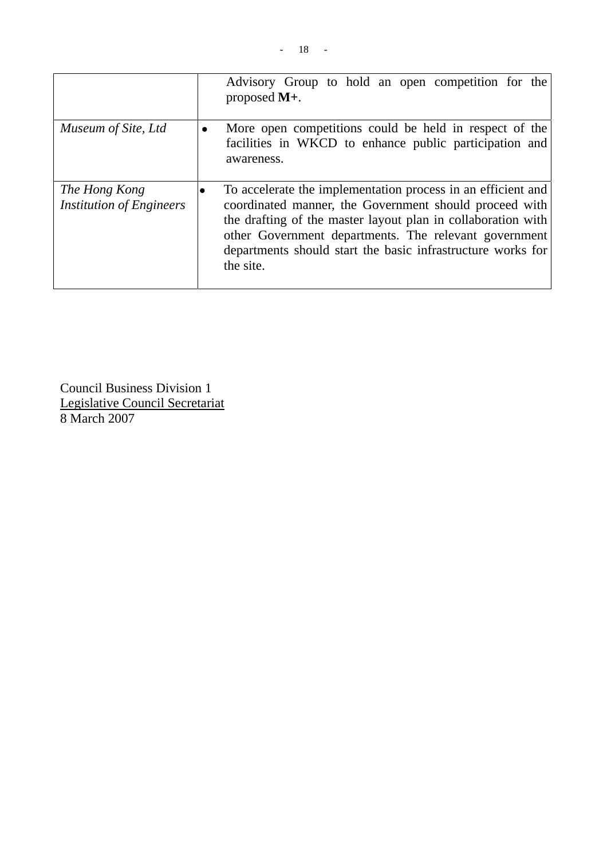|                                                  |           | Advisory Group to hold an open competition for the<br>proposed $M_{+}$ .                                                                                                                                                                                                                                                    |
|--------------------------------------------------|-----------|-----------------------------------------------------------------------------------------------------------------------------------------------------------------------------------------------------------------------------------------------------------------------------------------------------------------------------|
| Museum of Site, Ltd                              | $\bullet$ | More open competitions could be held in respect of the<br>facilities in WKCD to enhance public participation and<br>awareness.                                                                                                                                                                                              |
| The Hong Kong<br><b>Institution of Engineers</b> | ٠         | To accelerate the implementation process in an efficient and<br>coordinated manner, the Government should proceed with<br>the drafting of the master layout plan in collaboration with<br>other Government departments. The relevant government<br>departments should start the basic infrastructure works for<br>the site. |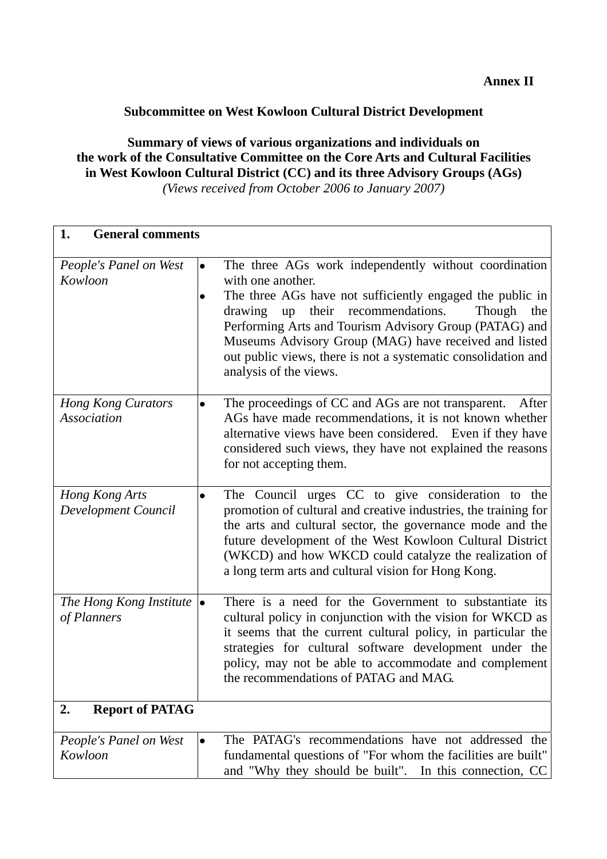## **Subcommittee on West Kowloon Cultural District Development**

# **Summary of views of various organizations and individuals on the work of the Consultative Committee on the Core Arts and Cultural Facilities in West Kowloon Cultural District (CC) and its three Advisory Groups (AGs)**

*(Views received from October 2006 to January 2007)* 

| 1.<br><b>General comments</b>                   |                                                                                                                                                                                                                                                                                                                                                                                                                                       |  |
|-------------------------------------------------|---------------------------------------------------------------------------------------------------------------------------------------------------------------------------------------------------------------------------------------------------------------------------------------------------------------------------------------------------------------------------------------------------------------------------------------|--|
| People's Panel on West<br>Kowloon               | The three AGs work independently without coordination<br>$\bullet$<br>with one another.<br>The three AGs have not sufficiently engaged the public in<br>$\bullet$<br>drawing up their recommendations.<br>Though<br>the<br>Performing Arts and Tourism Advisory Group (PATAG) and<br>Museums Advisory Group (MAG) have received and listed<br>out public views, there is not a systematic consolidation and<br>analysis of the views. |  |
| <b>Hong Kong Curators</b><br><b>Association</b> | The proceedings of CC and AGs are not transparent.<br>After<br>$\bullet$<br>AGs have made recommendations, it is not known whether<br>alternative views have been considered. Even if they have<br>considered such views, they have not explained the reasons<br>for not accepting them.                                                                                                                                              |  |
| Hong Kong Arts<br>Development Council           | The Council urges CC to give consideration to the<br>$\bullet$<br>promotion of cultural and creative industries, the training for<br>the arts and cultural sector, the governance mode and the<br>future development of the West Kowloon Cultural District<br>(WKCD) and how WKCD could catalyze the realization of<br>a long term arts and cultural vision for Hong Kong.                                                            |  |
| The Hong Kong Institute<br>of Planners          | There is a need for the Government to substantiate its<br>lo<br>cultural policy in conjunction with the vision for WKCD as<br>it seems that the current cultural policy, in particular the<br>strategies for cultural software development under the<br>policy, may not be able to accommodate and complement<br>the recommendations of PATAG and MAG.                                                                                |  |
| <b>Report of PATAG</b><br>2.                    |                                                                                                                                                                                                                                                                                                                                                                                                                                       |  |
| People's Panel on West<br>Kowloon               | The PATAG's recommendations have not addressed the<br>$\bullet$<br>fundamental questions of "For whom the facilities are built"<br>and "Why they should be built". In this connection, CC                                                                                                                                                                                                                                             |  |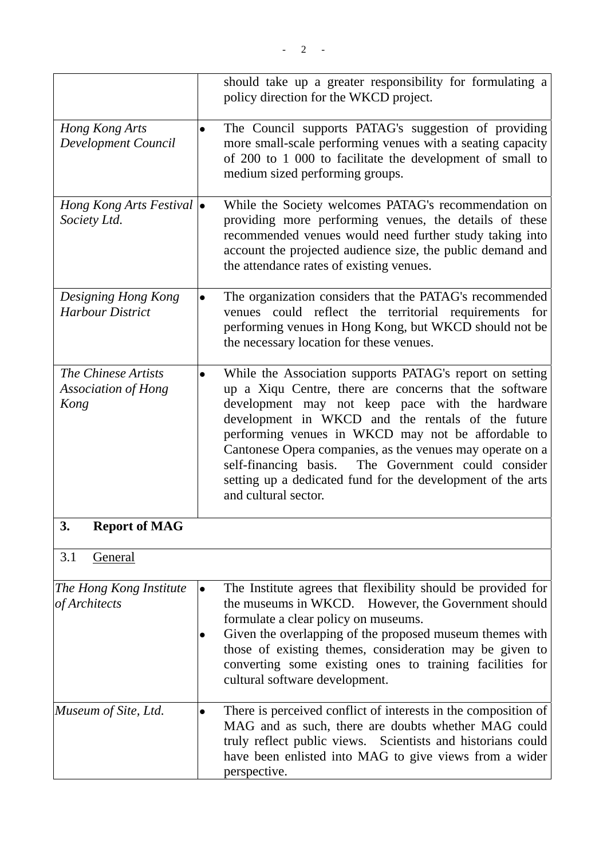|                                                               |           | should take up a greater responsibility for formulating a<br>policy direction for the WKCD project.                                                                                                                                                                                                                                                                                                                                                                                            |
|---------------------------------------------------------------|-----------|------------------------------------------------------------------------------------------------------------------------------------------------------------------------------------------------------------------------------------------------------------------------------------------------------------------------------------------------------------------------------------------------------------------------------------------------------------------------------------------------|
| Hong Kong Arts<br>Development Council                         | $\bullet$ | The Council supports PATAG's suggestion of providing<br>more small-scale performing venues with a seating capacity<br>of 200 to 1 000 to facilitate the development of small to<br>medium sized performing groups.                                                                                                                                                                                                                                                                             |
| Hong Kong Arts Festival $\vert \bullet \vert$<br>Society Ltd. |           | While the Society welcomes PATAG's recommendation on<br>providing more performing venues, the details of these<br>recommended venues would need further study taking into<br>account the projected audience size, the public demand and<br>the attendance rates of existing venues.                                                                                                                                                                                                            |
| Designing Hong Kong<br><b>Harbour District</b>                |           | The organization considers that the PATAG's recommended<br>venues could reflect the territorial requirements<br>for<br>performing venues in Hong Kong, but WKCD should not be<br>the necessary location for these venues.                                                                                                                                                                                                                                                                      |
| The Chinese Artists<br><b>Association of Hong</b><br>Kong     | $\bullet$ | While the Association supports PATAG's report on setting<br>up a Xiqu Centre, there are concerns that the software<br>development may not keep pace with the hardware<br>development in WKCD and the rentals of the future<br>performing venues in WKCD may not be affordable to<br>Cantonese Opera companies, as the venues may operate on a<br>The Government could consider<br>self-financing basis.<br>setting up a dedicated fund for the development of the arts<br>and cultural sector. |
| 3.<br><b>Report of MAG</b>                                    |           |                                                                                                                                                                                                                                                                                                                                                                                                                                                                                                |
| 3.1<br>General                                                |           |                                                                                                                                                                                                                                                                                                                                                                                                                                                                                                |
| The Hong Kong Institute<br>of Architects                      | $\bullet$ | The Institute agrees that flexibility should be provided for<br>the museums in WKCD. However, the Government should<br>formulate a clear policy on museums.<br>Given the overlapping of the proposed museum themes with<br>those of existing themes, consideration may be given to<br>converting some existing ones to training facilities for<br>cultural software development.                                                                                                               |
| Museum of Site, Ltd.                                          |           | There is perceived conflict of interests in the composition of<br>MAG and as such, there are doubts whether MAG could<br>truly reflect public views. Scientists and historians could<br>have been enlisted into MAG to give views from a wider<br>perspective.                                                                                                                                                                                                                                 |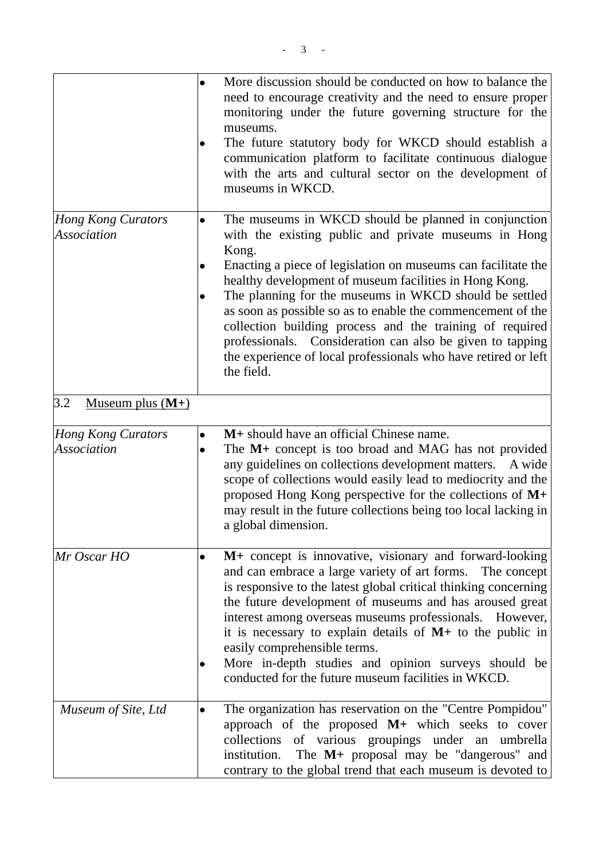|                                                 | $\bullet$              | More discussion should be conducted on how to balance the<br>need to encourage creativity and the need to ensure proper<br>monitoring under the future governing structure for the<br>museums.<br>The future statutory body for WKCD should establish a<br>communication platform to facilitate continuous dialogue<br>with the arts and cultural sector on the development of<br>museums in WKCD.                                                                                                                                                                                 |
|-------------------------------------------------|------------------------|------------------------------------------------------------------------------------------------------------------------------------------------------------------------------------------------------------------------------------------------------------------------------------------------------------------------------------------------------------------------------------------------------------------------------------------------------------------------------------------------------------------------------------------------------------------------------------|
| <b>Hong Kong Curators</b><br><b>Association</b> | $\bullet$              | The museums in WKCD should be planned in conjunction<br>with the existing public and private museums in Hong<br>Kong.<br>Enacting a piece of legislation on museums can facilitate the<br>healthy development of museum facilities in Hong Kong.<br>The planning for the museums in WKCD should be settled<br>as soon as possible so as to enable the commencement of the<br>collection building process and the training of required<br>professionals. Consideration can also be given to tapping<br>the experience of local professionals who have retired or left<br>the field. |
| 3.2<br><u>Museum plus <math>(M+)</math></u>     |                        |                                                                                                                                                                                                                                                                                                                                                                                                                                                                                                                                                                                    |
| <b>Hong Kong Curators</b><br><b>Association</b> | $\bullet$<br>$\bullet$ | M+ should have an official Chinese name.<br>The M+ concept is too broad and MAG has not provided<br>any guidelines on collections development matters.<br>A wide<br>scope of collections would easily lead to mediocrity and the<br>proposed Hong Kong perspective for the collections of $M+$<br>may result in the future collections being too local lacking in<br>a global dimension.                                                                                                                                                                                           |
| Mr Oscar HO                                     | $\bullet$              | M+ concept is innovative, visionary and forward-looking<br>and can embrace a large variety of art forms. The concept<br>is responsive to the latest global critical thinking concerning<br>the future development of museums and has aroused great<br>interest among overseas museums professionals.<br>However,<br>it is necessary to explain details of $M$ + to the public in<br>easily comprehensible terms.<br>More in-depth studies and opinion surveys should be<br>conducted for the future museum facilities in WKCD.                                                     |
| Museum of Site, Ltd                             | $\bullet$              | The organization has reservation on the "Centre Pompidou"<br>approach of the proposed M+ which seeks to cover<br>collections of various groupings under an umbrella<br>The M+ proposal may be "dangerous" and<br>institution.<br>contrary to the global trend that each museum is devoted to                                                                                                                                                                                                                                                                                       |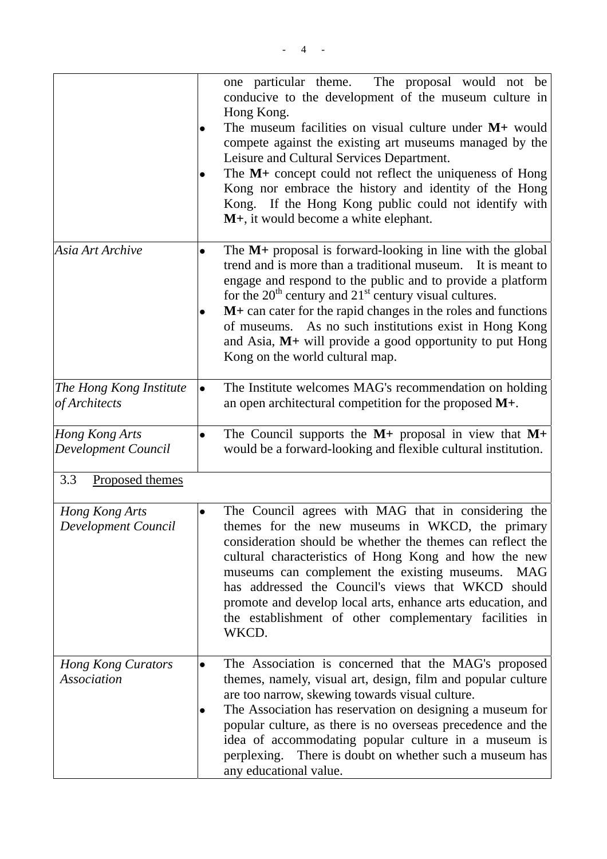|                                                 |           | one particular theme.<br>The proposal would not be<br>conducive to the development of the museum culture in<br>Hong Kong.<br>The museum facilities on visual culture under $M$ + would<br>compete against the existing art museums managed by the<br>Leisure and Cultural Services Department.<br>The M+ concept could not reflect the uniqueness of Hong<br>Kong nor embrace the history and identity of the Hong<br>Kong. If the Hong Kong public could not identify with<br>M+, it would become a white elephant. |
|-------------------------------------------------|-----------|----------------------------------------------------------------------------------------------------------------------------------------------------------------------------------------------------------------------------------------------------------------------------------------------------------------------------------------------------------------------------------------------------------------------------------------------------------------------------------------------------------------------|
| Asia Art Archive                                |           | The $M$ + proposal is forward-looking in line with the global<br>trend and is more than a traditional museum. It is meant to<br>engage and respond to the public and to provide a platform<br>for the $20th$ century and $21st$ century visual cultures.<br>$M$ + can cater for the rapid changes in the roles and functions<br>of museums. As no such institutions exist in Hong Kong<br>and Asia, $M+$ will provide a good opportunity to put Hong<br>Kong on the world cultural map.                              |
| The Hong Kong Institute<br>of Architects        |           | The Institute welcomes MAG's recommendation on holding<br>an open architectural competition for the proposed M+.                                                                                                                                                                                                                                                                                                                                                                                                     |
| Hong Kong Arts<br>Development Council           | $\bullet$ | The Council supports the $M$ + proposal in view that $M$ +<br>would be a forward-looking and flexible cultural institution.                                                                                                                                                                                                                                                                                                                                                                                          |
| 3.3<br>Proposed themes                          |           |                                                                                                                                                                                                                                                                                                                                                                                                                                                                                                                      |
| Hong Kong Arts<br>Development Council           | $\bullet$ | The Council agrees with MAG that in considering the<br>themes for the new museums in WKCD, the primary<br>consideration should be whether the themes can reflect the<br>cultural characteristics of Hong Kong and how the new<br>museums can complement the existing museums.<br>MAG<br>has addressed the Council's views that WKCD should<br>promote and develop local arts, enhance arts education, and<br>the establishment of other complementary facilities in<br>WKCD.                                         |
| <b>Hong Kong Curators</b><br><b>Association</b> | $\bullet$ | The Association is concerned that the MAG's proposed<br>themes, namely, visual art, design, film and popular culture<br>are too narrow, skewing towards visual culture.<br>The Association has reservation on designing a museum for<br>popular culture, as there is no overseas precedence and the<br>idea of accommodating popular culture in a museum is<br>perplexing. There is doubt on whether such a museum has<br>any educational value.                                                                     |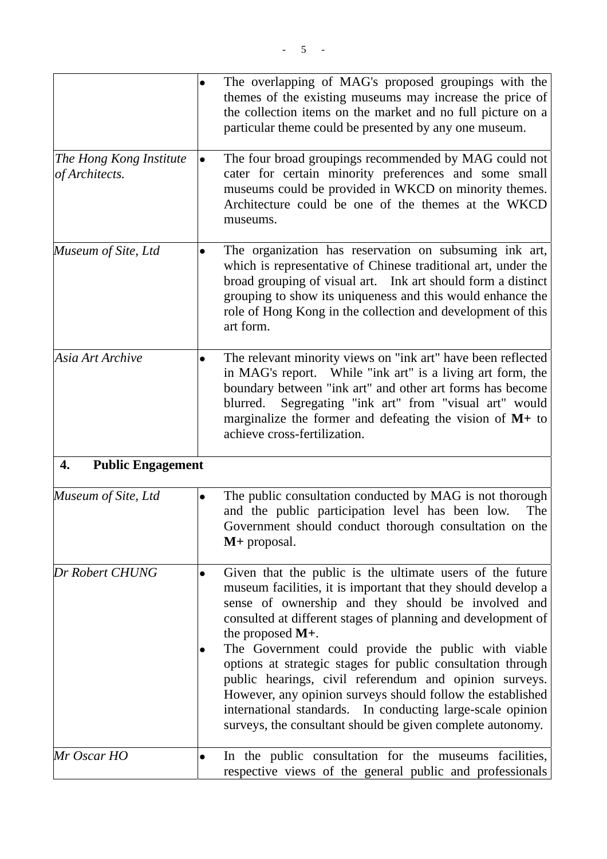|                                           | $\bullet$ | The overlapping of MAG's proposed groupings with the<br>themes of the existing museums may increase the price of<br>the collection items on the market and no full picture on a<br>particular theme could be presented by any one museum.                                                                                                                                                                                                                                                                                                                                                                                                         |
|-------------------------------------------|-----------|---------------------------------------------------------------------------------------------------------------------------------------------------------------------------------------------------------------------------------------------------------------------------------------------------------------------------------------------------------------------------------------------------------------------------------------------------------------------------------------------------------------------------------------------------------------------------------------------------------------------------------------------------|
| The Hong Kong Institute<br>of Architects. | $\bullet$ | The four broad groupings recommended by MAG could not<br>cater for certain minority preferences and some small<br>museums could be provided in WKCD on minority themes.<br>Architecture could be one of the themes at the WKCD<br>museums.                                                                                                                                                                                                                                                                                                                                                                                                        |
| Museum of Site, Ltd                       |           | The organization has reservation on subsuming ink art,<br>which is representative of Chinese traditional art, under the<br>broad grouping of visual art. Ink art should form a distinct<br>grouping to show its uniqueness and this would enhance the<br>role of Hong Kong in the collection and development of this<br>art form.                                                                                                                                                                                                                                                                                                                 |
| Asia Art Archive                          | $\bullet$ | The relevant minority views on "ink art" have been reflected<br>in MAG's report. While "ink art" is a living art form, the<br>boundary between "ink art" and other art forms has become<br>Segregating "ink art" from "visual art" would<br>blurred.<br>marginalize the former and defeating the vision of $M$ + to<br>achieve cross-fertilization.                                                                                                                                                                                                                                                                                               |
| <b>Public Engagement</b><br>4.            |           |                                                                                                                                                                                                                                                                                                                                                                                                                                                                                                                                                                                                                                                   |
| Museum of Site, Ltd                       | $\bullet$ | The public consultation conducted by MAG is not thorough<br>and the public participation level has been low.<br>The<br>Government should conduct thorough consultation on the<br>$M+$ proposal.                                                                                                                                                                                                                                                                                                                                                                                                                                                   |
| Dr Robert CHUNG                           | $\bullet$ | Given that the public is the ultimate users of the future<br>museum facilities, it is important that they should develop a<br>sense of ownership and they should be involved and<br>consulted at different stages of planning and development of<br>the proposed $M+$ .<br>The Government could provide the public with viable<br>options at strategic stages for public consultation through<br>public hearings, civil referendum and opinion surveys.<br>However, any opinion surveys should follow the established<br>international standards. In conducting large-scale opinion<br>surveys, the consultant should be given complete autonomy. |
| Mr Oscar HO                               | $\bullet$ | In the public consultation for the museums facilities,<br>respective views of the general public and professionals                                                                                                                                                                                                                                                                                                                                                                                                                                                                                                                                |